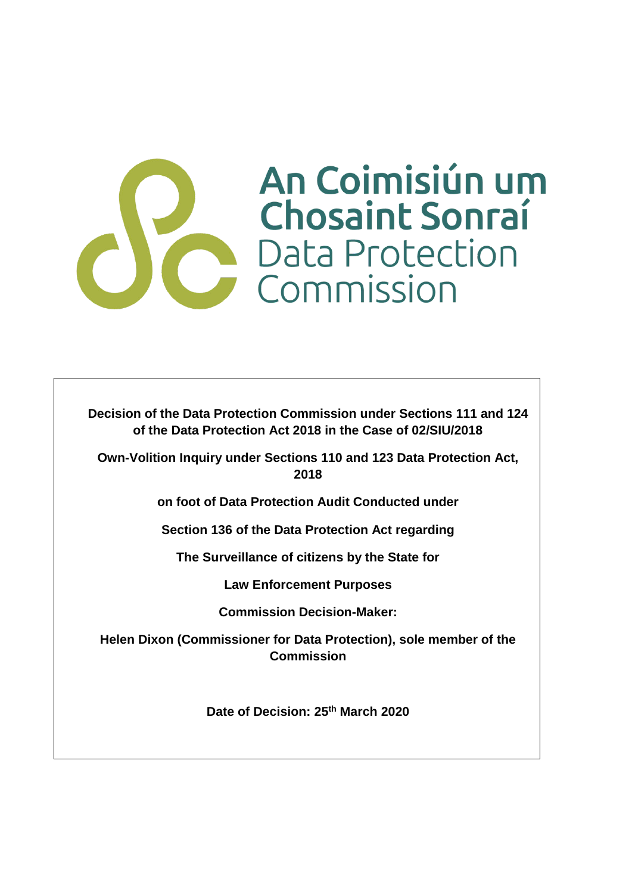# An Coimisiún um Chosaint Sonraine Chosaint Sonraí

**Decision of the Data Protection Commission under Sections 111 and 124 of the Data Protection Act 2018 in the Case of 02/SIU/2018**

**Own-Volition Inquiry under Sections 110 and 123 Data Protection Act, 2018**

**on foot of Data Protection Audit Conducted under** 

**Section 136 of the Data Protection Act regarding**

**The Surveillance of citizens by the State for** 

**Law Enforcement Purposes**

**Commission Decision-Maker:**

**Helen Dixon (Commissioner for Data Protection), sole member of the Commission**

**Date of Decision: 25th March 2020**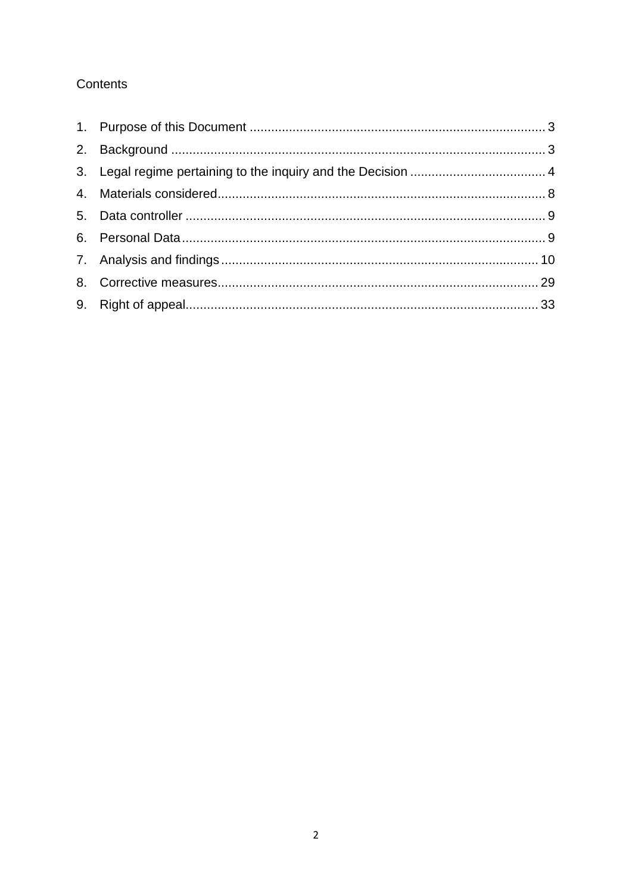## Contents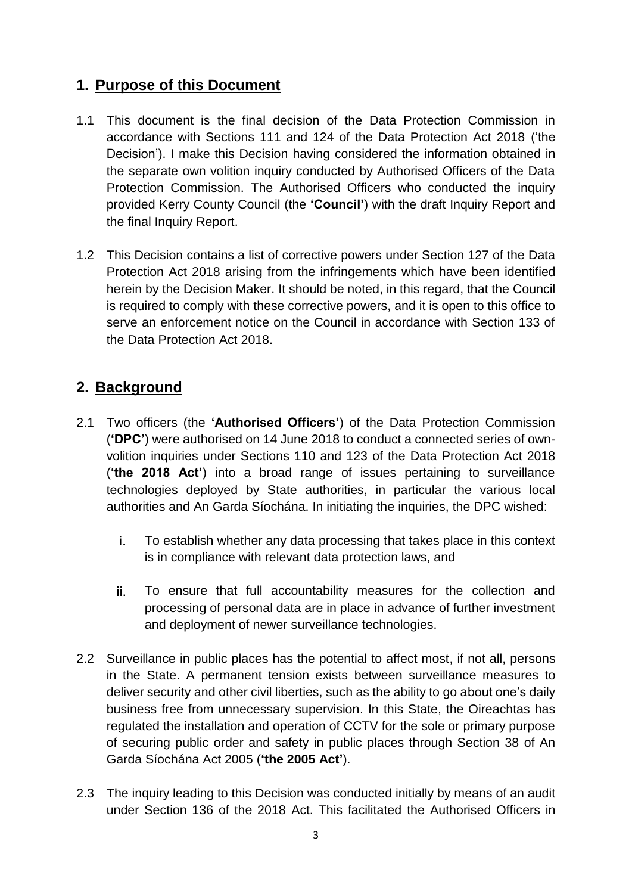## **1. Purpose of this Document**

- 1.1 This document is the final decision of the Data Protection Commission in accordance with Sections 111 and 124 of the Data Protection Act 2018 ('the Decision'). I make this Decision having considered the information obtained in the separate own volition inquiry conducted by Authorised Officers of the Data Protection Commission. The Authorised Officers who conducted the inquiry provided Kerry County Council (the **'Council'**) with the draft Inquiry Report and the final Inquiry Report.
- 1.2 This Decision contains a list of corrective powers under Section 127 of the Data Protection Act 2018 arising from the infringements which have been identified herein by the Decision Maker. It should be noted, in this regard, that the Council is required to comply with these corrective powers, and it is open to this office to serve an enforcement notice on the Council in accordance with Section 133 of the Data Protection Act 2018.

## **2. Background**

- 2.1 Two officers (the **'Authorised Officers'**) of the Data Protection Commission (**'DPC'**) were authorised on 14 June 2018 to conduct a connected series of ownvolition inquiries under Sections 110 and 123 of the Data Protection Act 2018 (**'the 2018 Act'**) into a broad range of issues pertaining to surveillance technologies deployed by State authorities, in particular the various local authorities and An Garda Síochána. In initiating the inquiries, the DPC wished:
	- i. To establish whether any data processing that takes place in this context is in compliance with relevant data protection laws, and
	- ii. To ensure that full accountability measures for the collection and processing of personal data are in place in advance of further investment and deployment of newer surveillance technologies.
- 2.2 Surveillance in public places has the potential to affect most, if not all, persons in the State. A permanent tension exists between surveillance measures to deliver security and other civil liberties, such as the ability to go about one's daily business free from unnecessary supervision. In this State, the Oireachtas has regulated the installation and operation of CCTV for the sole or primary purpose of securing public order and safety in public places through Section 38 of An Garda Síochána Act 2005 (**'the 2005 Act'**).
- 2.3 The inquiry leading to this Decision was conducted initially by means of an audit under Section 136 of the 2018 Act. This facilitated the Authorised Officers in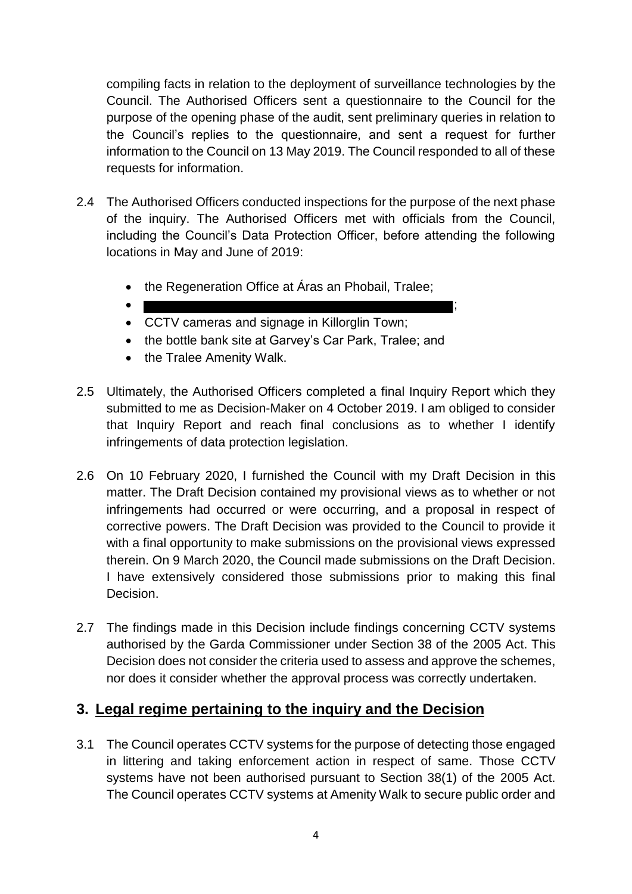compiling facts in relation to the deployment of surveillance technologies by the Council. The Authorised Officers sent a questionnaire to the Council for the purpose of the opening phase of the audit, sent preliminary queries in relation to the Council's replies to the questionnaire, and sent a request for further information to the Council on 13 May 2019. The Council responded to all of these requests for information.

- 2.4 The Authorised Officers conducted inspections for the purpose of the next phase of the inquiry. The Authorised Officers met with officials from the Council, including the Council's Data Protection Officer, before attending the following locations in May and June of 2019:
	- the Regeneration Office at Áras an Phobail, Tralee;
	- $\bullet$  ; and the contract of the contract of the contract of the contract of the contract of the contract of the contract of the contract of the contract of the contract of the contract of the contract of the contract of th
	- CCTV cameras and signage in Killorglin Town;
	- the bottle bank site at Garvey's Car Park, Tralee; and
	- the Tralee Amenity Walk.
- 2.5 Ultimately, the Authorised Officers completed a final Inquiry Report which they submitted to me as Decision-Maker on 4 October 2019. I am obliged to consider that Inquiry Report and reach final conclusions as to whether I identify infringements of data protection legislation.
- 2.6 On 10 February 2020, I furnished the Council with my Draft Decision in this matter. The Draft Decision contained my provisional views as to whether or not infringements had occurred or were occurring, and a proposal in respect of corrective powers. The Draft Decision was provided to the Council to provide it with a final opportunity to make submissions on the provisional views expressed therein. On 9 March 2020, the Council made submissions on the Draft Decision. I have extensively considered those submissions prior to making this final Decision.
- 2.7 The findings made in this Decision include findings concerning CCTV systems authorised by the Garda Commissioner under Section 38 of the 2005 Act. This Decision does not consider the criteria used to assess and approve the schemes, nor does it consider whether the approval process was correctly undertaken.

## **3. Legal regime pertaining to the inquiry and the Decision**

3.1 The Council operates CCTV systems for the purpose of detecting those engaged in littering and taking enforcement action in respect of same. Those CCTV systems have not been authorised pursuant to Section 38(1) of the 2005 Act. The Council operates CCTV systems at Amenity Walk to secure public order and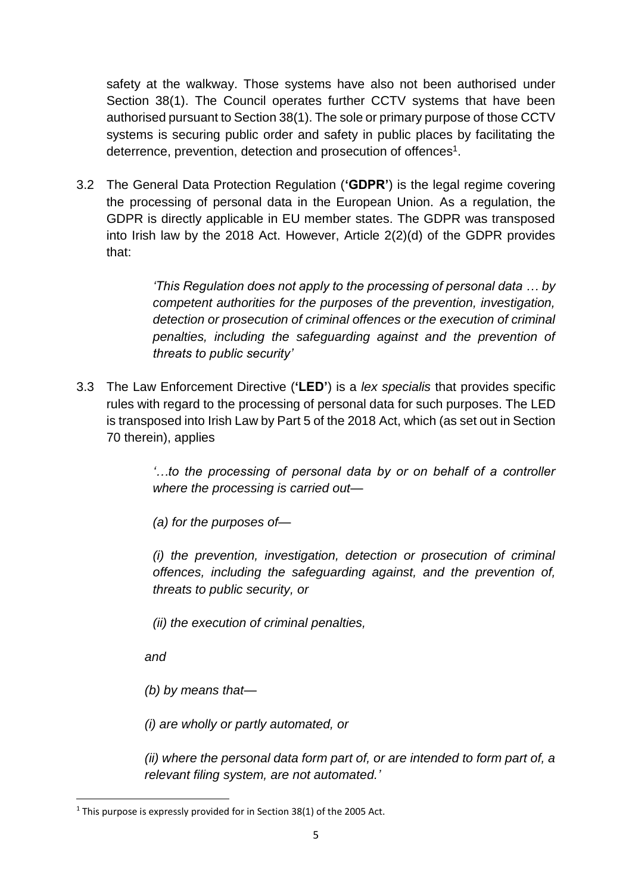safety at the walkway. Those systems have also not been authorised under Section 38(1). The Council operates further CCTV systems that have been authorised pursuant to Section 38(1). The sole or primary purpose of those CCTV systems is securing public order and safety in public places by facilitating the deterrence, prevention, detection and prosecution of offences<sup>1</sup>.

3.2 The General Data Protection Regulation (**'GDPR'**) is the legal regime covering the processing of personal data in the European Union. As a regulation, the GDPR is directly applicable in EU member states. The GDPR was transposed into Irish law by the 2018 Act. However, Article 2(2)(d) of the GDPR provides that:

> *'This Regulation does not apply to the processing of personal data … by competent authorities for the purposes of the prevention, investigation, detection or prosecution of criminal offences or the execution of criminal penalties, including the safeguarding against and the prevention of threats to public security'*

3.3 The Law Enforcement Directive (**'LED'**) is a *lex specialis* that provides specific rules with regard to the processing of personal data for such purposes. The LED is transposed into Irish Law by Part 5 of the 2018 Act, which (as set out in Section 70 therein), applies

> *'…to the processing of personal data by or on behalf of a controller where the processing is carried out—*

*(a) for the purposes of—*

*(i) the prevention, investigation, detection or prosecution of criminal offences, including the safeguarding against, and the prevention of, threats to public security, or*

*(ii) the execution of criminal penalties,*

*and*

**.** 

*(b) by means that—*

*(i) are wholly or partly automated, or*

*(ii) where the personal data form part of, or are intended to form part of, a relevant filing system, are not automated.'*

 $1$  This purpose is expressly provided for in Section 38(1) of the 2005 Act.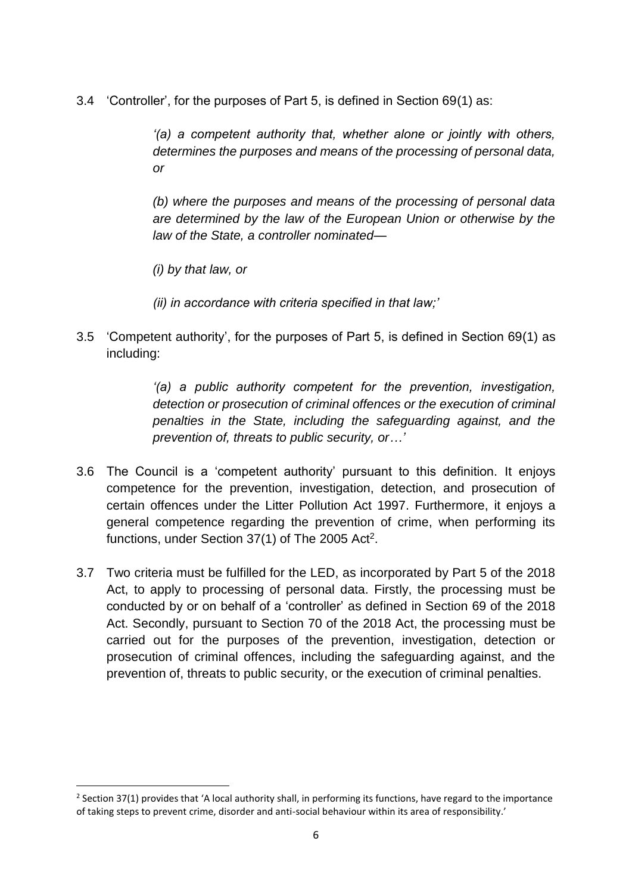3.4 'Controller', for the purposes of Part 5, is defined in Section 69(1) as:

*'(a) a competent authority that, whether alone or jointly with others, determines the purposes and means of the processing of personal data, or*

*(b) where the purposes and means of the processing of personal data are determined by the law of the European Union or otherwise by the law of the State, a controller nominated—*

*(i) by that law, or*

1

*(ii) in accordance with criteria specified in that law;'*

3.5 'Competent authority', for the purposes of Part 5, is defined in Section 69(1) as including:

> *'(a) a public authority competent for the prevention, investigation, detection or prosecution of criminal offences or the execution of criminal penalties in the State, including the safeguarding against, and the prevention of, threats to public security, or…'*

- 3.6 The Council is a 'competent authority' pursuant to this definition. It enjoys competence for the prevention, investigation, detection, and prosecution of certain offences under the Litter Pollution Act 1997. Furthermore, it enjoys a general competence regarding the prevention of crime, when performing its functions, under Section  $37(1)$  of The 2005 Act<sup>2</sup>.
- 3.7 Two criteria must be fulfilled for the LED, as incorporated by Part 5 of the 2018 Act, to apply to processing of personal data. Firstly, the processing must be conducted by or on behalf of a 'controller' as defined in Section 69 of the 2018 Act. Secondly, pursuant to Section 70 of the 2018 Act, the processing must be carried out for the purposes of the prevention, investigation, detection or prosecution of criminal offences, including the safeguarding against, and the prevention of, threats to public security, or the execution of criminal penalties.

 $2$  Section 37(1) provides that 'A local authority shall, in performing its functions, have regard to the importance of taking steps to prevent crime, disorder and anti-social behaviour within its area of responsibility.'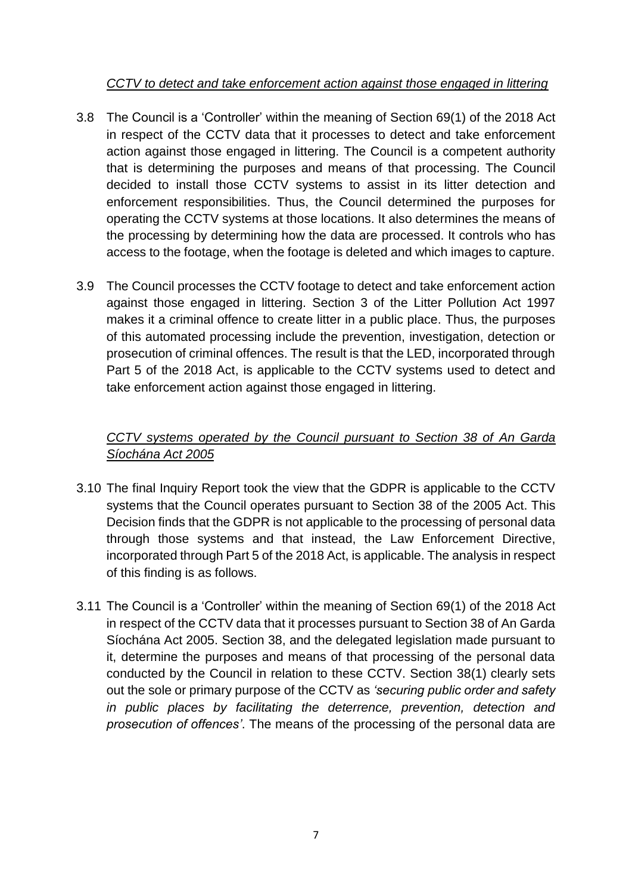#### *CCTV to detect and take enforcement action against those engaged in littering*

- 3.8 The Council is a 'Controller' within the meaning of Section 69(1) of the 2018 Act in respect of the CCTV data that it processes to detect and take enforcement action against those engaged in littering. The Council is a competent authority that is determining the purposes and means of that processing. The Council decided to install those CCTV systems to assist in its litter detection and enforcement responsibilities. Thus, the Council determined the purposes for operating the CCTV systems at those locations. It also determines the means of the processing by determining how the data are processed. It controls who has access to the footage, when the footage is deleted and which images to capture.
- 3.9 The Council processes the CCTV footage to detect and take enforcement action against those engaged in littering. Section 3 of the Litter Pollution Act 1997 makes it a criminal offence to create litter in a public place. Thus, the purposes of this automated processing include the prevention, investigation, detection or prosecution of criminal offences. The result is that the LED, incorporated through Part 5 of the 2018 Act, is applicable to the CCTV systems used to detect and take enforcement action against those engaged in littering.

## *CCTV systems operated by the Council pursuant to Section 38 of An Garda Síochána Act 2005*

- 3.10 The final Inquiry Report took the view that the GDPR is applicable to the CCTV systems that the Council operates pursuant to Section 38 of the 2005 Act. This Decision finds that the GDPR is not applicable to the processing of personal data through those systems and that instead, the Law Enforcement Directive, incorporated through Part 5 of the 2018 Act, is applicable. The analysis in respect of this finding is as follows.
- 3.11 The Council is a 'Controller' within the meaning of Section 69(1) of the 2018 Act in respect of the CCTV data that it processes pursuant to Section 38 of An Garda Síochána Act 2005. Section 38, and the delegated legislation made pursuant to it, determine the purposes and means of that processing of the personal data conducted by the Council in relation to these CCTV. Section 38(1) clearly sets out the sole or primary purpose of the CCTV as *'securing public order and safety in public places by facilitating the deterrence, prevention, detection and prosecution of offences'*. The means of the processing of the personal data are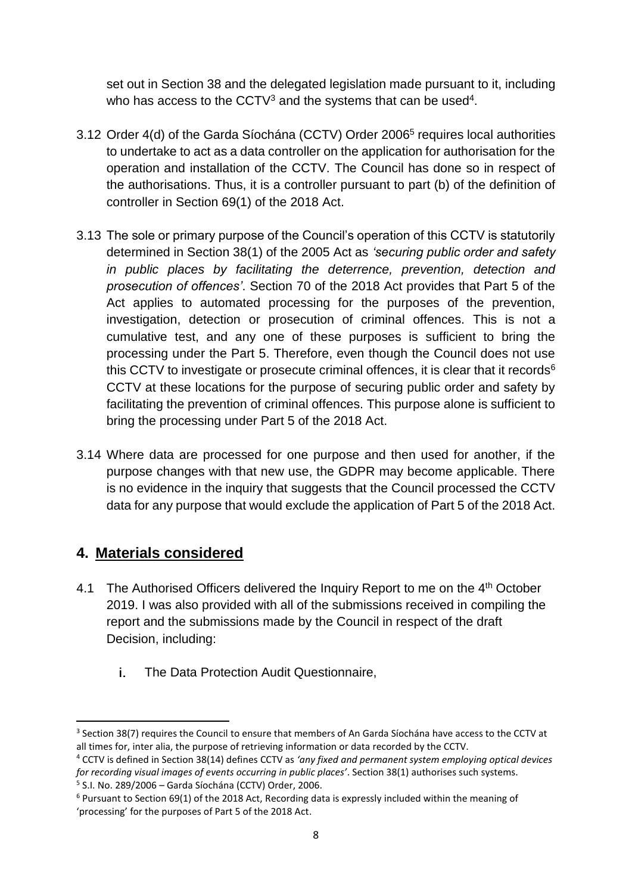set out in Section 38 and the delegated legislation made pursuant to it, including who has access to the CCTV<sup>3</sup> and the systems that can be used<sup>4</sup>.

- 3.12 Order 4(d) of the Garda Síochána (CCTV) Order 2006<sup>5</sup> requires local authorities to undertake to act as a data controller on the application for authorisation for the operation and installation of the CCTV. The Council has done so in respect of the authorisations. Thus, it is a controller pursuant to part (b) of the definition of controller in Section 69(1) of the 2018 Act.
- 3.13 The sole or primary purpose of the Council's operation of this CCTV is statutorily determined in Section 38(1) of the 2005 Act as *'securing public order and safety in public places by facilitating the deterrence, prevention, detection and prosecution of offences'*. Section 70 of the 2018 Act provides that Part 5 of the Act applies to automated processing for the purposes of the prevention, investigation, detection or prosecution of criminal offences. This is not a cumulative test, and any one of these purposes is sufficient to bring the processing under the Part 5. Therefore, even though the Council does not use this CCTV to investigate or prosecute criminal offences, it is clear that it records<sup>6</sup> CCTV at these locations for the purpose of securing public order and safety by facilitating the prevention of criminal offences. This purpose alone is sufficient to bring the processing under Part 5 of the 2018 Act.
- 3.14 Where data are processed for one purpose and then used for another, if the purpose changes with that new use, the GDPR may become applicable. There is no evidence in the inquiry that suggests that the Council processed the CCTV data for any purpose that would exclude the application of Part 5 of the 2018 Act.

## **4. Materials considered**

- 4.1 The Authorised Officers delivered the Inquiry Report to me on the 4<sup>th</sup> October 2019. I was also provided with all of the submissions received in compiling the report and the submissions made by the Council in respect of the draft Decision, including:
	- The Data Protection Audit Questionnaire, i.

<sup>&</sup>lt;sup>3</sup> Section 38(7) requires the Council to ensure that members of An Garda Síochána have access to the CCTV at all times for, inter alia, the purpose of retrieving information or data recorded by the CCTV.

<sup>4</sup> CCTV is defined in Section 38(14) defines CCTV as *'any fixed and permanent system employing optical devices for recording visual images of events occurring in public places'*. Section 38(1) authorises such systems. 5 S.I. No. 289/2006 – Garda Síochána (CCTV) Order, 2006.

 $6$  Pursuant to Section 69(1) of the 2018 Act, Recording data is expressly included within the meaning of 'processing' for the purposes of Part 5 of the 2018 Act.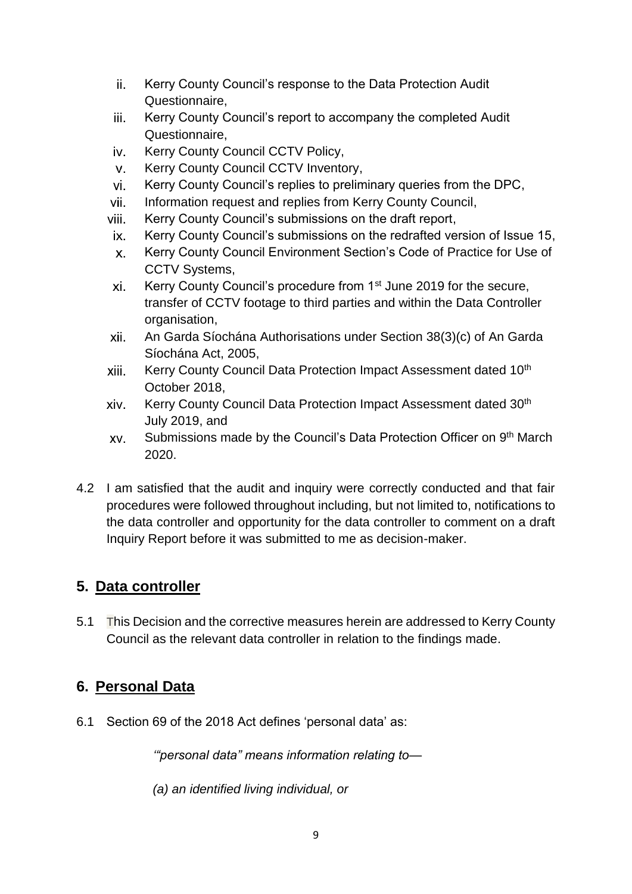- ii. Kerry County Council's response to the Data Protection Audit Questionnaire,
- Kerry County Council's report to accompany the completed Audit iii. Questionnaire,
- Kerry County Council CCTV Policy, IV.
- $V_{\rm{H}}$ Kerry County Council CCTV Inventory,
- Kerry County Council's replies to preliminary queries from the DPC, vi.
- Information request and replies from Kerry County Council, vii.
- viii. Kerry County Council's submissions on the draft report,
- IX. Kerry County Council's submissions on the redrafted version of Issue 15,
- Kerry County Council Environment Section's Code of Practice for Use of  $X_{-}$ CCTV Systems,
- xi. Kerry County Council's procedure from 1<sup>st</sup> June 2019 for the secure, transfer of CCTV footage to third parties and within the Data Controller organisation,
- xii An Garda Síochána Authorisations under Section 38(3)(c) of An Garda Síochána Act, 2005,
- xiii. Kerry County Council Data Protection Impact Assessment dated 10<sup>th</sup> October 2018,
- Kerry County Council Data Protection Impact Assessment dated 30<sup>th</sup> xiv. July 2019, and
- Submissions made by the Council's Data Protection Officer on 9th March XV. 2020.
- 4.2 I am satisfied that the audit and inquiry were correctly conducted and that fair procedures were followed throughout including, but not limited to, notifications to the data controller and opportunity for the data controller to comment on a draft Inquiry Report before it was submitted to me as decision-maker.

## **5. Data controller**

5.1 This Decision and the corrective measures herein are addressed to Kerry County Council as the relevant data controller in relation to the findings made.

## **6. Personal Data**

6.1 Section 69 of the 2018 Act defines 'personal data' as:

*'"personal data" means information relating to—*

*(a) an identified living individual, or*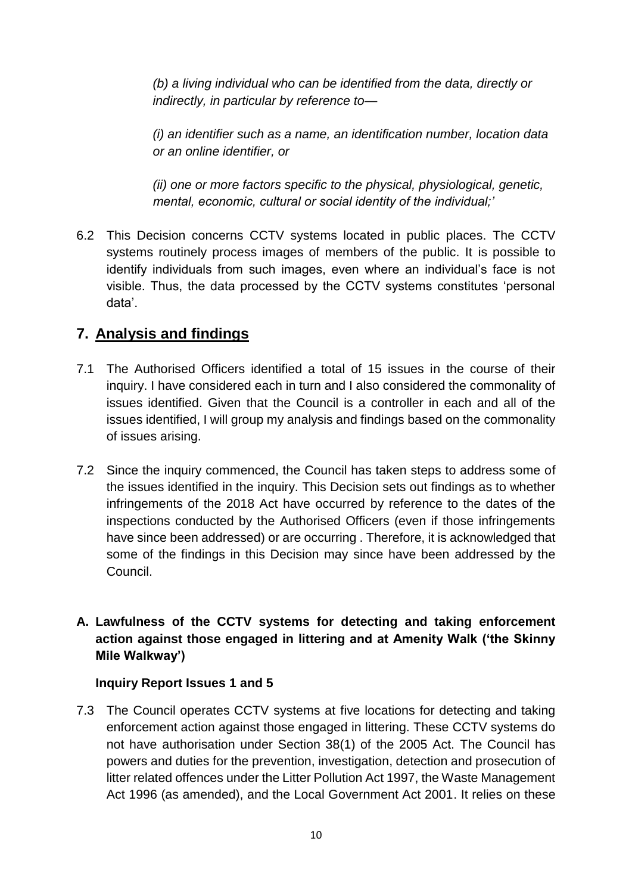*(b) a living individual who can be identified from the data, directly or indirectly, in particular by reference to—*

*(i) an identifier such as a name, an identification number, location data or an online identifier, or*

*(ii) one or more factors specific to the physical, physiological, genetic, mental, economic, cultural or social identity of the individual;'*

6.2 This Decision concerns CCTV systems located in public places. The CCTV systems routinely process images of members of the public. It is possible to identify individuals from such images, even where an individual's face is not visible. Thus, the data processed by the CCTV systems constitutes 'personal data'.

## **7. Analysis and findings**

- 7.1 The Authorised Officers identified a total of 15 issues in the course of their inquiry. I have considered each in turn and I also considered the commonality of issues identified. Given that the Council is a controller in each and all of the issues identified, I will group my analysis and findings based on the commonality of issues arising.
- 7.2 Since the inquiry commenced, the Council has taken steps to address some of the issues identified in the inquiry. This Decision sets out findings as to whether infringements of the 2018 Act have occurred by reference to the dates of the inspections conducted by the Authorised Officers (even if those infringements have since been addressed) or are occurring . Therefore, it is acknowledged that some of the findings in this Decision may since have been addressed by the Council.

## **A. Lawfulness of the CCTV systems for detecting and taking enforcement action against those engaged in littering and at Amenity Walk ('the Skinny Mile Walkway')**

#### **Inquiry Report Issues 1 and 5**

7.3 The Council operates CCTV systems at five locations for detecting and taking enforcement action against those engaged in littering. These CCTV systems do not have authorisation under Section 38(1) of the 2005 Act. The Council has powers and duties for the prevention, investigation, detection and prosecution of litter related offences under the Litter Pollution Act 1997, the Waste Management Act 1996 (as amended), and the Local Government Act 2001. It relies on these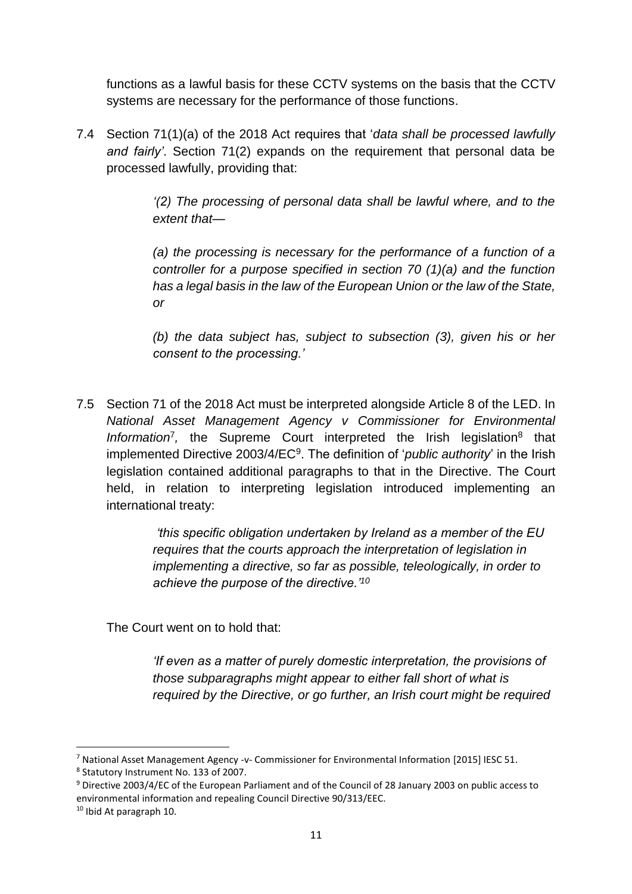functions as a lawful basis for these CCTV systems on the basis that the CCTV systems are necessary for the performance of those functions.

7.4 Section 71(1)(a) of the 2018 Act requires that '*data shall be processed lawfully and fairly'*. Section 71(2) expands on the requirement that personal data be processed lawfully, providing that:

> *'(2) The processing of personal data shall be lawful where, and to the extent that—*

> *(a) the processing is necessary for the performance of a function of a controller for a purpose specified in section 70 (1)(a) and the function has a legal basis in the law of the European Union or the law of the State, or*

> *(b) the data subject has, subject to subsection (3), given his or her consent to the processing.'*

7.5 Section 71 of the 2018 Act must be interpreted alongside Article 8 of the LED. In *National Asset Management Agency v Commissioner for Environmental*  Information<sup>7</sup>, the Supreme Court interpreted the Irish legislation<sup>8</sup> that implemented Directive 2003/4/EC<sup>9</sup>. The definition of '*public authority*' in the Irish legislation contained additional paragraphs to that in the Directive. The Court held, in relation to interpreting legislation introduced implementing an international treaty:

> *'this specific obligation undertaken by Ireland as a member of the EU requires that the courts approach the interpretation of legislation in implementing a directive, so far as possible, teleologically, in order to achieve the purpose of the directive.'<sup>10</sup>*

The Court went on to hold that:

*'If even as a matter of purely domestic interpretation, the provisions of those subparagraphs might appear to either fall short of what is required by the Directive, or go further, an Irish court might be required* 

<sup>7</sup> National Asset Management Agency -v- Commissioner for Environmental Information [2015] IESC 51.

<sup>8</sup> Statutory Instrument No. 133 of 2007.

<sup>9</sup> Directive 2003/4/EC of the European Parliament and of the Council of 28 January 2003 on public access to environmental information and repealing Council Directive 90/313/EEC.

<sup>10</sup> Ibid At paragraph 10.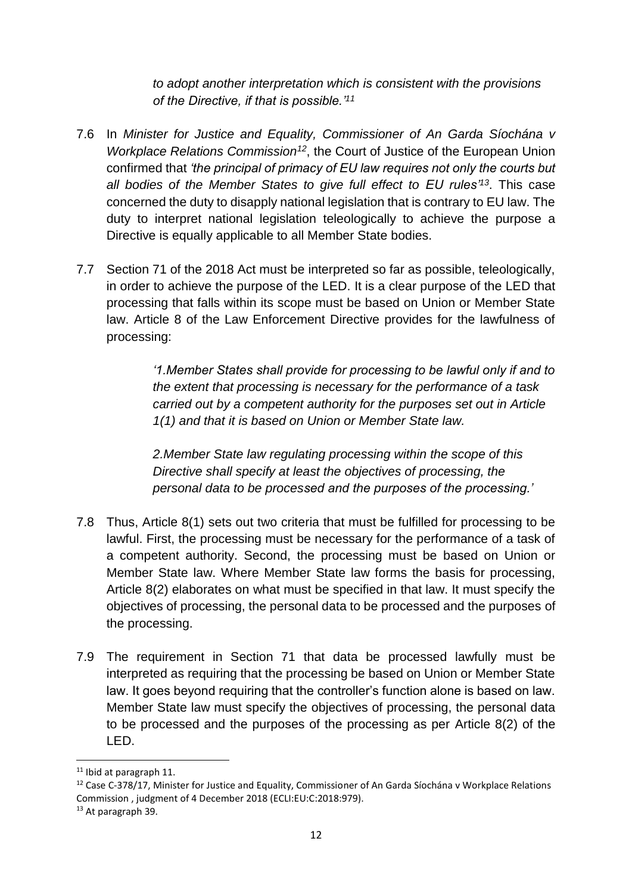*to adopt another interpretation which is consistent with the provisions of the Directive, if that is possible.'<sup>11</sup>*

- 7.6 In *Minister for Justice and Equality, Commissioner of An Garda Síochána v Workplace Relations Commission<sup>12</sup>*, the Court of Justice of the European Union confirmed that *'the principal of primacy of EU law requires not only the courts but all bodies of the Member States to give full effect to EU rules'<sup>13</sup>*. This case concerned the duty to disapply national legislation that is contrary to EU law. The duty to interpret national legislation teleologically to achieve the purpose a Directive is equally applicable to all Member State bodies.
- 7.7 Section 71 of the 2018 Act must be interpreted so far as possible, teleologically, in order to achieve the purpose of the LED. It is a clear purpose of the LED that processing that falls within its scope must be based on Union or Member State law. Article 8 of the Law Enforcement Directive provides for the lawfulness of processing:

*'1.Member States shall provide for processing to be lawful only if and to the extent that processing is necessary for the performance of a task carried out by a competent authority for the purposes set out in Article 1(1) and that it is based on Union or Member State law.*

*2.Member State law regulating processing within the scope of this Directive shall specify at least the objectives of processing, the personal data to be processed and the purposes of the processing.'*

- 7.8 Thus, Article 8(1) sets out two criteria that must be fulfilled for processing to be lawful. First, the processing must be necessary for the performance of a task of a competent authority. Second, the processing must be based on Union or Member State law. Where Member State law forms the basis for processing, Article 8(2) elaborates on what must be specified in that law. It must specify the objectives of processing, the personal data to be processed and the purposes of the processing.
- 7.9 The requirement in Section 71 that data be processed lawfully must be interpreted as requiring that the processing be based on Union or Member State law. It goes beyond requiring that the controller's function alone is based on law. Member State law must specify the objectives of processing, the personal data to be processed and the purposes of the processing as per Article 8(2) of the LED.

1

<sup>&</sup>lt;sup>11</sup> Ibid at paragraph 11.

<sup>&</sup>lt;sup>12</sup> Case C-378/17, Minister for Justice and Equality, Commissioner of An Garda Síochána v Workplace Relations Commission , judgment of 4 December 2018 (ECLI:EU:C:2018:979).

<sup>&</sup>lt;sup>13</sup> At paragraph 39.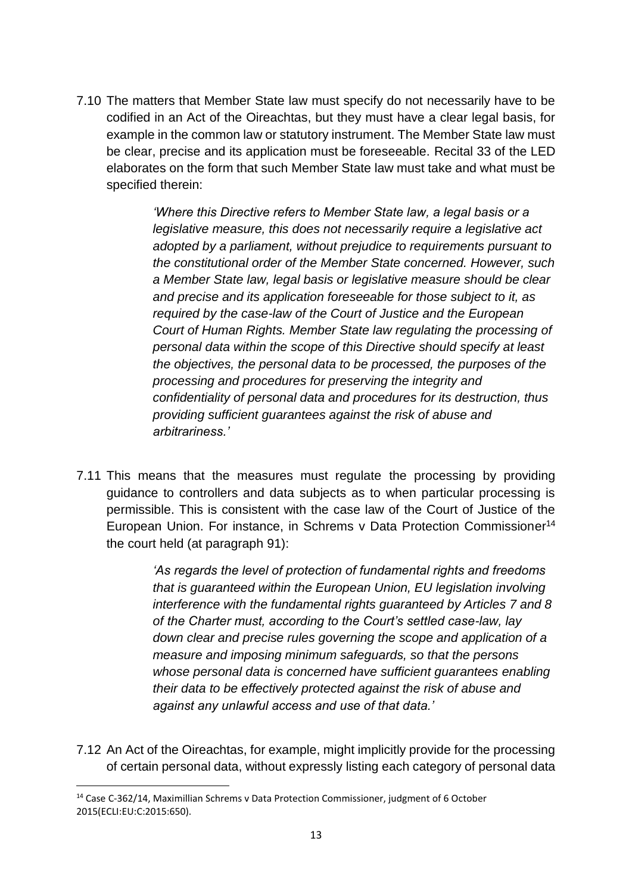7.10 The matters that Member State law must specify do not necessarily have to be codified in an Act of the Oireachtas, but they must have a clear legal basis, for example in the common law or statutory instrument. The Member State law must be clear, precise and its application must be foreseeable. Recital 33 of the LED elaborates on the form that such Member State law must take and what must be specified therein:

> *'Where this Directive refers to Member State law, a legal basis or a legislative measure, this does not necessarily require a legislative act adopted by a parliament, without prejudice to requirements pursuant to the constitutional order of the Member State concerned. However, such a Member State law, legal basis or legislative measure should be clear and precise and its application foreseeable for those subject to it, as required by the case-law of the Court of Justice and the European Court of Human Rights. Member State law regulating the processing of personal data within the scope of this Directive should specify at least the objectives, the personal data to be processed, the purposes of the processing and procedures for preserving the integrity and confidentiality of personal data and procedures for its destruction, thus providing sufficient guarantees against the risk of abuse and arbitrariness.'*

7.11 This means that the measures must regulate the processing by providing guidance to controllers and data subjects as to when particular processing is permissible. This is consistent with the case law of the Court of Justice of the European Union. For instance, in Schrems v Data Protection Commissioner<sup>14</sup> the court held (at paragraph 91):

> *'As regards the level of protection of fundamental rights and freedoms that is guaranteed within the European Union, EU legislation involving interference with the fundamental rights guaranteed by Articles 7 and 8 of the Charter must, according to the Court's settled case-law, lay down clear and precise rules governing the scope and application of a measure and imposing minimum safeguards, so that the persons whose personal data is concerned have sufficient guarantees enabling their data to be effectively protected against the risk of abuse and against any unlawful access and use of that data.'*

7.12 An Act of the Oireachtas, for example, might implicitly provide for the processing of certain personal data, without expressly listing each category of personal data

1

<sup>14</sup> Case C-362/14, Maximillian Schrems v Data Protection Commissioner, judgment of 6 October 2015(ECLI:EU:C:2015:650).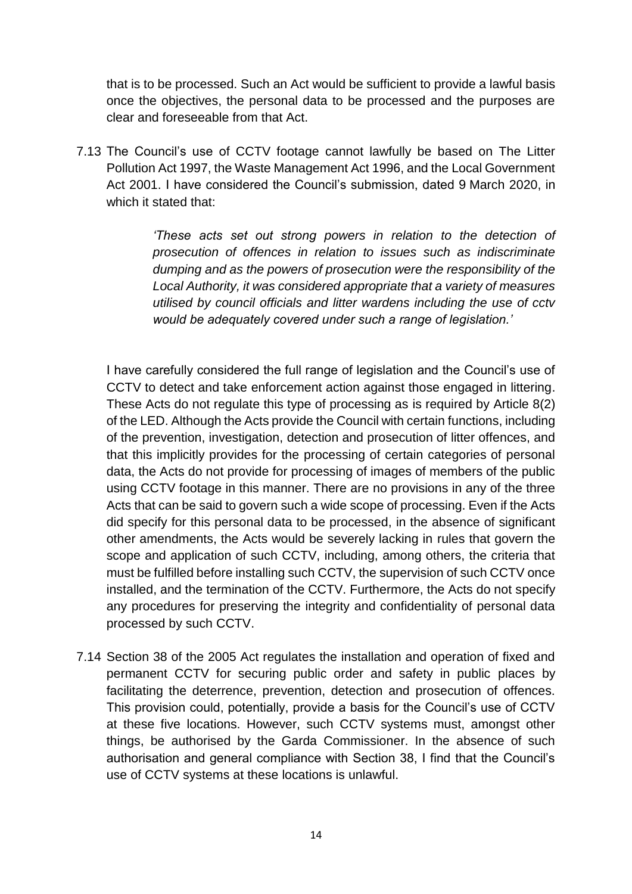that is to be processed. Such an Act would be sufficient to provide a lawful basis once the objectives, the personal data to be processed and the purposes are clear and foreseeable from that Act.

7.13 The Council's use of CCTV footage cannot lawfully be based on The Litter Pollution Act 1997, the Waste Management Act 1996, and the Local Government Act 2001. I have considered the Council's submission, dated 9 March 2020, in which it stated that:

> *'These acts set out strong powers in relation to the detection of prosecution of offences in relation to issues such as indiscriminate dumping and as the powers of prosecution were the responsibility of the Local Authority, it was considered appropriate that a variety of measures utilised by council officials and litter wardens including the use of cctv would be adequately covered under such a range of legislation.'*

I have carefully considered the full range of legislation and the Council's use of CCTV to detect and take enforcement action against those engaged in littering. These Acts do not regulate this type of processing as is required by Article 8(2) of the LED. Although the Acts provide the Council with certain functions, including of the prevention, investigation, detection and prosecution of litter offences, and that this implicitly provides for the processing of certain categories of personal data, the Acts do not provide for processing of images of members of the public using CCTV footage in this manner. There are no provisions in any of the three Acts that can be said to govern such a wide scope of processing. Even if the Acts did specify for this personal data to be processed, in the absence of significant other amendments, the Acts would be severely lacking in rules that govern the scope and application of such CCTV, including, among others, the criteria that must be fulfilled before installing such CCTV, the supervision of such CCTV once installed, and the termination of the CCTV. Furthermore, the Acts do not specify any procedures for preserving the integrity and confidentiality of personal data processed by such CCTV.

7.14 Section 38 of the 2005 Act regulates the installation and operation of fixed and permanent CCTV for securing public order and safety in public places by facilitating the deterrence, prevention, detection and prosecution of offences. This provision could, potentially, provide a basis for the Council's use of CCTV at these five locations. However, such CCTV systems must, amongst other things, be authorised by the Garda Commissioner. In the absence of such authorisation and general compliance with Section 38, I find that the Council's use of CCTV systems at these locations is unlawful.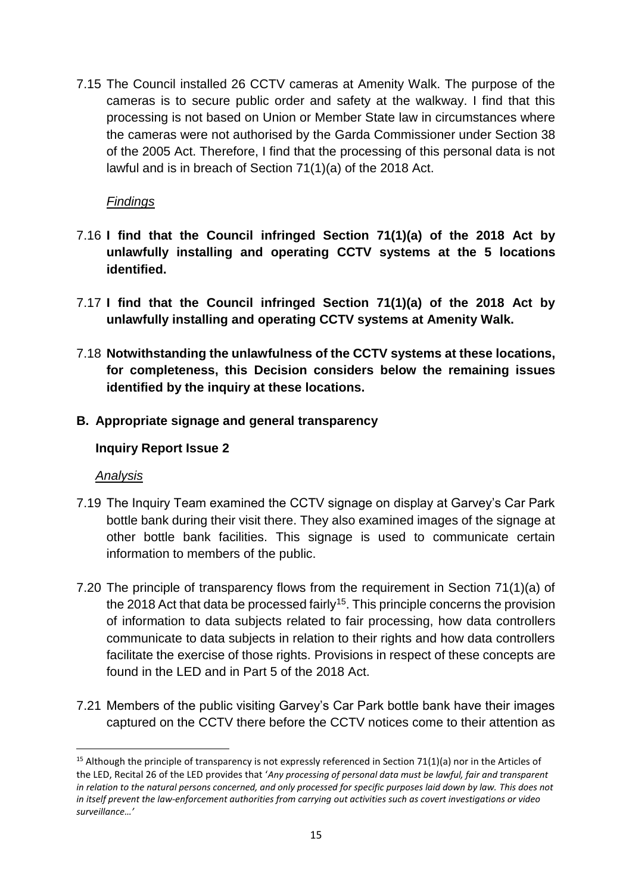7.15 The Council installed 26 CCTV cameras at Amenity Walk. The purpose of the cameras is to secure public order and safety at the walkway. I find that this processing is not based on Union or Member State law in circumstances where the cameras were not authorised by the Garda Commissioner under Section 38 of the 2005 Act. Therefore, I find that the processing of this personal data is not lawful and is in breach of Section 71(1)(a) of the 2018 Act.

#### *Findings*

- 7.16 **I find that the Council infringed Section 71(1)(a) of the 2018 Act by unlawfully installing and operating CCTV systems at the 5 locations identified.**
- 7.17 **I find that the Council infringed Section 71(1)(a) of the 2018 Act by unlawfully installing and operating CCTV systems at Amenity Walk.**
- 7.18 **Notwithstanding the unlawfulness of the CCTV systems at these locations, for completeness, this Decision considers below the remaining issues identified by the inquiry at these locations.**
- **B. Appropriate signage and general transparency**

#### **Inquiry Report Issue 2**

#### *Analysis*

 $\overline{\phantom{a}}$ 

- 7.19 The Inquiry Team examined the CCTV signage on display at Garvey's Car Park bottle bank during their visit there. They also examined images of the signage at other bottle bank facilities. This signage is used to communicate certain information to members of the public.
- 7.20 The principle of transparency flows from the requirement in Section 71(1)(a) of the 2018 Act that data be processed fairly<sup>15</sup>. This principle concerns the provision of information to data subjects related to fair processing, how data controllers communicate to data subjects in relation to their rights and how data controllers facilitate the exercise of those rights. Provisions in respect of these concepts are found in the LED and in Part 5 of the 2018 Act.
- 7.21 Members of the public visiting Garvey's Car Park bottle bank have their images captured on the CCTV there before the CCTV notices come to their attention as

<sup>&</sup>lt;sup>15</sup> Although the principle of transparency is not expressly referenced in Section 71(1)(a) nor in the Articles of the LED, Recital 26 of the LED provides that '*Any processing of personal data must be lawful, fair and transparent in relation to the natural persons concerned, and only processed for specific purposes laid down by law. This does not in itself prevent the law-enforcement authorities from carrying out activities such as covert investigations or video surveillance…'*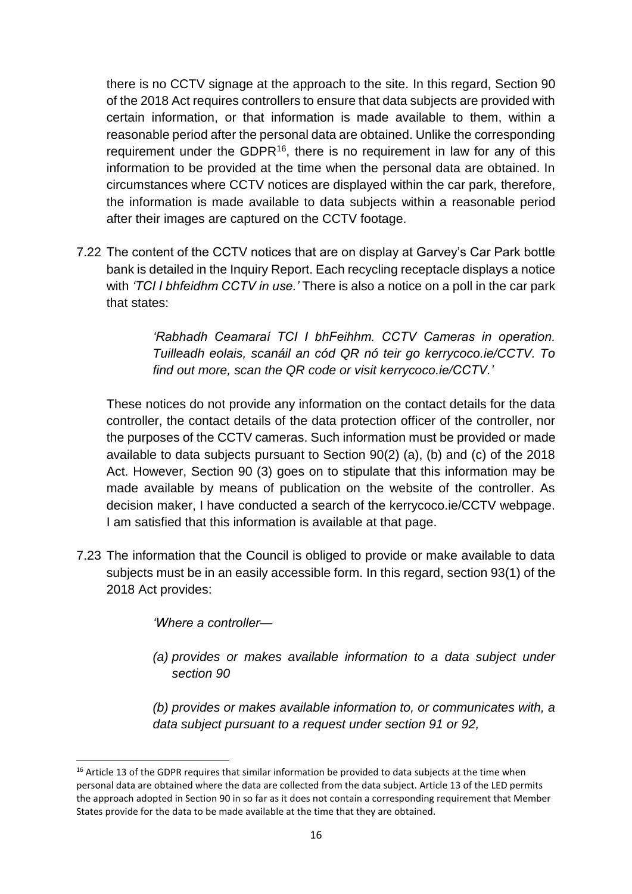there is no CCTV signage at the approach to the site. In this regard, Section 90 of the 2018 Act requires controllers to ensure that data subjects are provided with certain information, or that information is made available to them, within a reasonable period after the personal data are obtained. Unlike the corresponding requirement under the GDPR<sup>16</sup>, there is no requirement in law for any of this information to be provided at the time when the personal data are obtained. In circumstances where CCTV notices are displayed within the car park, therefore, the information is made available to data subjects within a reasonable period after their images are captured on the CCTV footage.

7.22 The content of the CCTV notices that are on display at Garvey's Car Park bottle bank is detailed in the Inquiry Report. Each recycling receptacle displays a notice with *'TCI I bhfeidhm CCTV in use.'* There is also a notice on a poll in the car park that states:

> *'Rabhadh Ceamaraí TCI I bhFeihhm. CCTV Cameras in operation. Tuilleadh eolais, scanáil an cód QR nó teir go kerrycoco.ie/CCTV. To find out more, scan the QR code or visit kerrycoco.ie/CCTV.'*

These notices do not provide any information on the contact details for the data controller, the contact details of the data protection officer of the controller, nor the purposes of the CCTV cameras. Such information must be provided or made available to data subjects pursuant to Section 90(2) (a), (b) and (c) of the 2018 Act. However, Section 90 (3) goes on to stipulate that this information may be made available by means of publication on the website of the controller. As decision maker, I have conducted a search of the kerrycoco.ie/CCTV webpage. I am satisfied that this information is available at that page.

7.23 The information that the Council is obliged to provide or make available to data subjects must be in an easily accessible form. In this regard, section 93(1) of the 2018 Act provides:

*'Where a controller—*

1

*(a) provides or makes available information to a data subject under section 90* 

*(b) provides or makes available information to, or communicates with, a data subject pursuant to a request under section 91 or 92,*

<sup>&</sup>lt;sup>16</sup> Article 13 of the GDPR requires that similar information be provided to data subjects at the time when personal data are obtained where the data are collected from the data subject. Article 13 of the LED permits the approach adopted in Section 90 in so far as it does not contain a corresponding requirement that Member States provide for the data to be made available at the time that they are obtained.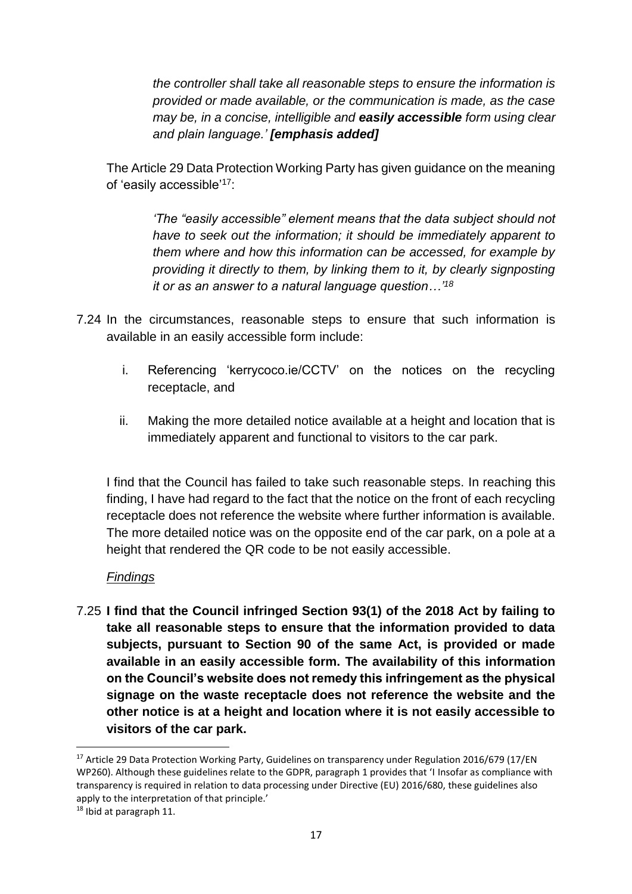*the controller shall take all reasonable steps to ensure the information is provided or made available, or the communication is made, as the case may be, in a concise, intelligible and easily accessible form using clear and plain language.' [emphasis added]*

The Article 29 Data Protection Working Party has given guidance on the meaning of 'easily accessible'<sup>17</sup>:

> *'The "easily accessible" element means that the data subject should not have to seek out the information; it should be immediately apparent to them where and how this information can be accessed, for example by providing it directly to them, by linking them to it, by clearly signposting it or as an answer to a natural language question…'<sup>18</sup>*

- 7.24 In the circumstances, reasonable steps to ensure that such information is available in an easily accessible form include:
	- i. Referencing 'kerrycoco.ie/CCTV' on the notices on the recycling receptacle, and
	- ii. Making the more detailed notice available at a height and location that is immediately apparent and functional to visitors to the car park.

I find that the Council has failed to take such reasonable steps. In reaching this finding, I have had regard to the fact that the notice on the front of each recycling receptacle does not reference the website where further information is available. The more detailed notice was on the opposite end of the car park, on a pole at a height that rendered the QR code to be not easily accessible.

#### *Findings*

7.25 **I find that the Council infringed Section 93(1) of the 2018 Act by failing to take all reasonable steps to ensure that the information provided to data subjects, pursuant to Section 90 of the same Act, is provided or made available in an easily accessible form. The availability of this information on the Council's website does not remedy this infringement as the physical signage on the waste receptacle does not reference the website and the other notice is at a height and location where it is not easily accessible to visitors of the car park.**

<sup>&</sup>lt;sup>17</sup> Article 29 Data Protection Working Party, Guidelines on transparency under Regulation 2016/679 (17/EN WP260). Although these guidelines relate to the GDPR, paragraph 1 provides that 'I Insofar as compliance with transparency is required in relation to data processing under Directive (EU) 2016/680, these guidelines also apply to the interpretation of that principle.'

<sup>18</sup> Ibid at paragraph 11.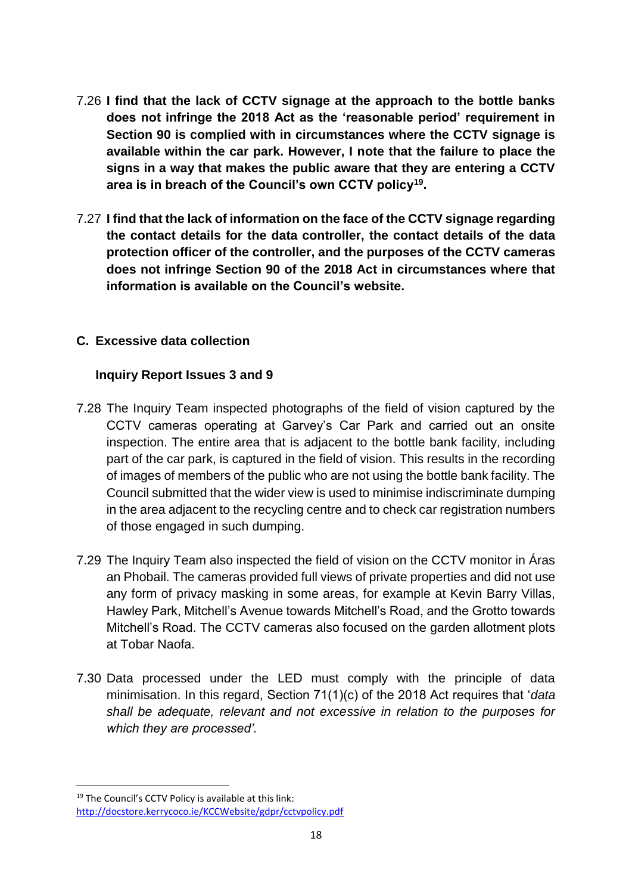- 7.26 **I find that the lack of CCTV signage at the approach to the bottle banks does not infringe the 2018 Act as the 'reasonable period' requirement in Section 90 is complied with in circumstances where the CCTV signage is available within the car park. However, I note that the failure to place the signs in a way that makes the public aware that they are entering a CCTV area is in breach of the Council's own CCTV policy<sup>19</sup> .**
- 7.27 **I find that the lack of information on the face of the CCTV signage regarding the contact details for the data controller, the contact details of the data protection officer of the controller, and the purposes of the CCTV cameras does not infringe Section 90 of the 2018 Act in circumstances where that information is available on the Council's website.**

#### **C. Excessive data collection**

#### **Inquiry Report Issues 3 and 9**

- 7.28 The Inquiry Team inspected photographs of the field of vision captured by the CCTV cameras operating at Garvey's Car Park and carried out an onsite inspection. The entire area that is adjacent to the bottle bank facility, including part of the car park, is captured in the field of vision. This results in the recording of images of members of the public who are not using the bottle bank facility. The Council submitted that the wider view is used to minimise indiscriminate dumping in the area adjacent to the recycling centre and to check car registration numbers of those engaged in such dumping.
- 7.29 The Inquiry Team also inspected the field of vision on the CCTV monitor in Áras an Phobail. The cameras provided full views of private properties and did not use any form of privacy masking in some areas, for example at Kevin Barry Villas, Hawley Park, Mitchell's Avenue towards Mitchell's Road, and the Grotto towards Mitchell's Road. The CCTV cameras also focused on the garden allotment plots at Tobar Naofa.
- 7.30 Data processed under the LED must comply with the principle of data minimisation. In this regard, Section 71(1)(c) of the 2018 Act requires that '*data shall be adequate, relevant and not excessive in relation to the purposes for which they are processed'.*

1

<sup>&</sup>lt;sup>19</sup> The Council's CCTV Policy is available at this link: http://docstore.kerrycoco.ie/KCCWebsite/gdpr/cctvpolicy.pdf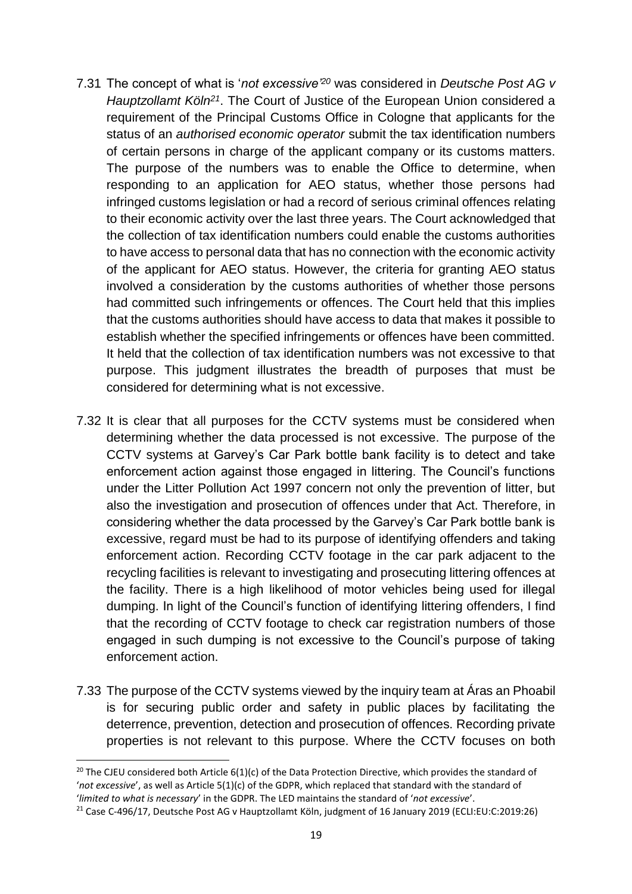- 7.31 The concept of what is '*not excessive'<sup>20</sup>* was considered in *Deutsche Post AG v Hauptzollamt Köln<sup>21</sup>*. The Court of Justice of the European Union considered a requirement of the Principal Customs Office in Cologne that applicants for the status of an *authorised economic operator* submit the tax identification numbers of certain persons in charge of the applicant company or its customs matters. The purpose of the numbers was to enable the Office to determine, when responding to an application for AEO status, whether those persons had infringed customs legislation or had a record of serious criminal offences relating to their economic activity over the last three years. The Court acknowledged that the collection of tax identification numbers could enable the customs authorities to have access to personal data that has no connection with the economic activity of the applicant for AEO status. However, the criteria for granting AEO status involved a consideration by the customs authorities of whether those persons had committed such infringements or offences. The Court held that this implies that the customs authorities should have access to data that makes it possible to establish whether the specified infringements or offences have been committed. It held that the collection of tax identification numbers was not excessive to that purpose. This judgment illustrates the breadth of purposes that must be considered for determining what is not excessive.
- 7.32 It is clear that all purposes for the CCTV systems must be considered when determining whether the data processed is not excessive. The purpose of the CCTV systems at Garvey's Car Park bottle bank facility is to detect and take enforcement action against those engaged in littering. The Council's functions under the Litter Pollution Act 1997 concern not only the prevention of litter, but also the investigation and prosecution of offences under that Act. Therefore, in considering whether the data processed by the Garvey's Car Park bottle bank is excessive, regard must be had to its purpose of identifying offenders and taking enforcement action. Recording CCTV footage in the car park adjacent to the recycling facilities is relevant to investigating and prosecuting littering offences at the facility. There is a high likelihood of motor vehicles being used for illegal dumping. In light of the Council's function of identifying littering offenders, I find that the recording of CCTV footage to check car registration numbers of those engaged in such dumping is not excessive to the Council's purpose of taking enforcement action.
- 7.33 The purpose of the CCTV systems viewed by the inquiry team at Áras an Phoabil is for securing public order and safety in public places by facilitating the deterrence, prevention, detection and prosecution of offences. Recording private properties is not relevant to this purpose. Where the CCTV focuses on both

1

<sup>&</sup>lt;sup>20</sup> The CJEU considered both Article 6(1)(c) of the Data Protection Directive, which provides the standard of '*not excessive*', as well as Article 5(1)(c) of the GDPR, which replaced that standard with the standard of '*limited to what is necessary*' in the GDPR. The LED maintains the standard of '*not excessive*'.

<sup>21</sup> Case C-496/17, Deutsche Post AG v Hauptzollamt Köln, judgment of 16 January 2019 (ECLI:EU:C:2019:26)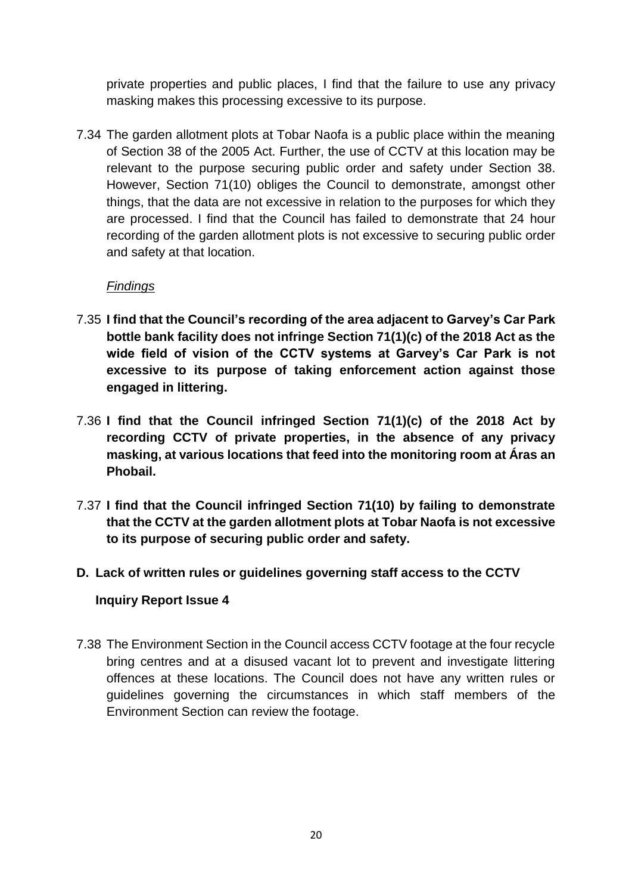private properties and public places, I find that the failure to use any privacy masking makes this processing excessive to its purpose.

7.34 The garden allotment plots at Tobar Naofa is a public place within the meaning of Section 38 of the 2005 Act. Further, the use of CCTV at this location may be relevant to the purpose securing public order and safety under Section 38. However, Section 71(10) obliges the Council to demonstrate, amongst other things, that the data are not excessive in relation to the purposes for which they are processed. I find that the Council has failed to demonstrate that 24 hour recording of the garden allotment plots is not excessive to securing public order and safety at that location.

#### *Findings*

- 7.35 **I find that the Council's recording of the area adjacent to Garvey's Car Park bottle bank facility does not infringe Section 71(1)(c) of the 2018 Act as the wide field of vision of the CCTV systems at Garvey's Car Park is not excessive to its purpose of taking enforcement action against those engaged in littering.**
- 7.36 **I find that the Council infringed Section 71(1)(c) of the 2018 Act by recording CCTV of private properties, in the absence of any privacy masking, at various locations that feed into the monitoring room at Áras an Phobail.**
- 7.37 **I find that the Council infringed Section 71(10) by failing to demonstrate that the CCTV at the garden allotment plots at Tobar Naofa is not excessive to its purpose of securing public order and safety.**

#### **D. Lack of written rules or guidelines governing staff access to the CCTV**

#### **Inquiry Report Issue 4**

7.38 The Environment Section in the Council access CCTV footage at the four recycle bring centres and at a disused vacant lot to prevent and investigate littering offences at these locations. The Council does not have any written rules or guidelines governing the circumstances in which staff members of the Environment Section can review the footage.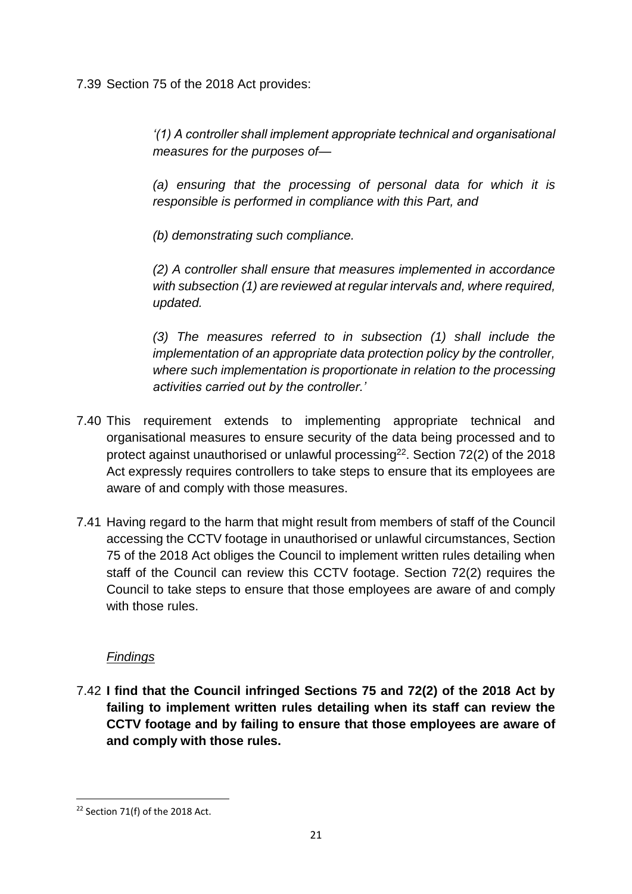7.39 Section 75 of the 2018 Act provides:

*'(1) A controller shall implement appropriate technical and organisational measures for the purposes of—*

*(a) ensuring that the processing of personal data for which it is responsible is performed in compliance with this Part, and*

*(b) demonstrating such compliance.*

*(2) A controller shall ensure that measures implemented in accordance with subsection (1) are reviewed at regular intervals and, where required, updated.*

*(3) The measures referred to in subsection (1) shall include the implementation of an appropriate data protection policy by the controller, where such implementation is proportionate in relation to the processing activities carried out by the controller.'*

- 7.40 This requirement extends to implementing appropriate technical and organisational measures to ensure security of the data being processed and to protect against unauthorised or unlawful processing<sup>22</sup>. Section 72(2) of the 2018 Act expressly requires controllers to take steps to ensure that its employees are aware of and comply with those measures.
- 7.41 Having regard to the harm that might result from members of staff of the Council accessing the CCTV footage in unauthorised or unlawful circumstances, Section 75 of the 2018 Act obliges the Council to implement written rules detailing when staff of the Council can review this CCTV footage. Section 72(2) requires the Council to take steps to ensure that those employees are aware of and comply with those rules.

## *Findings*

7.42 **I find that the Council infringed Sections 75 and 72(2) of the 2018 Act by failing to implement written rules detailing when its staff can review the CCTV footage and by failing to ensure that those employees are aware of and comply with those rules.**

 $22$  Section 71(f) of the 2018 Act.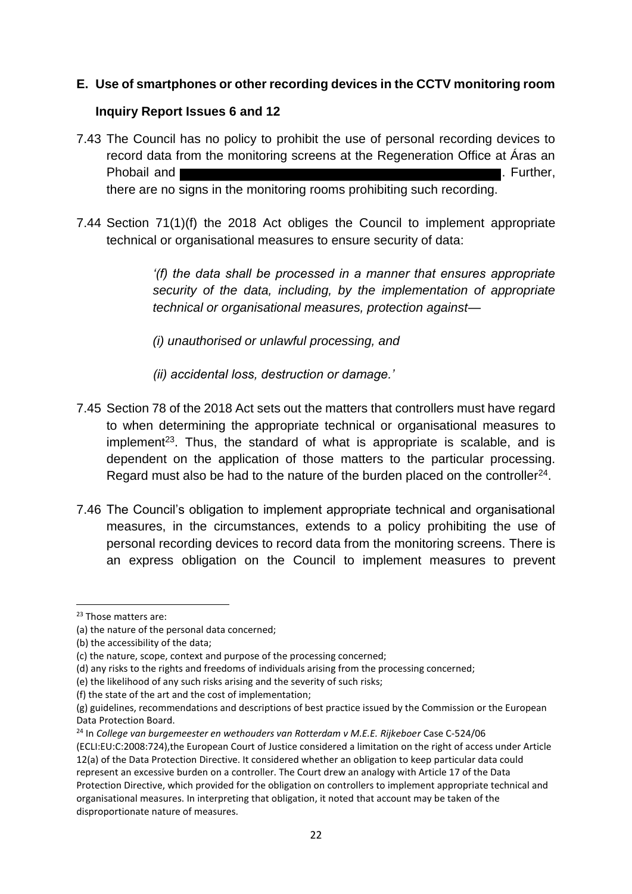#### **E. Use of smartphones or other recording devices in the CCTV monitoring room**

#### **Inquiry Report Issues 6 and 12**

- 7.43 The Council has no policy to prohibit the use of personal recording devices to record data from the monitoring screens at the Regeneration Office at Áras an Phobail and **EXACTER 2008** Phobail and **EXACTER** 2008 **Phobail** and **EXACTER** 2008 there are no signs in the monitoring rooms prohibiting such recording.
- 7.44 Section 71(1)(f) the 2018 Act obliges the Council to implement appropriate technical or organisational measures to ensure security of data:

*'(f) the data shall be processed in a manner that ensures appropriate security of the data, including, by the implementation of appropriate technical or organisational measures, protection against—*

*(i) unauthorised or unlawful processing, and*

*(ii) accidental loss, destruction or damage.'*

- 7.45 Section 78 of the 2018 Act sets out the matters that controllers must have regard to when determining the appropriate technical or organisational measures to implement<sup>23</sup>. Thus, the standard of what is appropriate is scalable, and is dependent on the application of those matters to the particular processing. Regard must also be had to the nature of the burden placed on the controller<sup>24</sup>.
- 7.46 The Council's obligation to implement appropriate technical and organisational measures, in the circumstances, extends to a policy prohibiting the use of personal recording devices to record data from the monitoring screens. There is an express obligation on the Council to implement measures to prevent

 $\overline{\phantom{a}}$ 

<sup>&</sup>lt;sup>23</sup> Those matters are:

<sup>(</sup>a) the nature of the personal data concerned;

<sup>(</sup>b) the accessibility of the data;

<sup>(</sup>c) the nature, scope, context and purpose of the processing concerned;

<sup>(</sup>d) any risks to the rights and freedoms of individuals arising from the processing concerned;

<sup>(</sup>e) the likelihood of any such risks arising and the severity of such risks;

<sup>(</sup>f) the state of the art and the cost of implementation;

<sup>(</sup>g) guidelines, recommendations and descriptions of best practice issued by the Commission or the European Data Protection Board.

<sup>24</sup> In *College van burgemeester en wethouders van Rotterdam v M.E.E. Rijkeboer* Case C-524/06 (ECLI:EU:C:2008:724),the European Court of Justice considered a limitation on the right of access under Article

<sup>12(</sup>a) of the Data Protection Directive. It considered whether an obligation to keep particular data could represent an excessive burden on a controller. The Court drew an analogy with Article 17 of the Data Protection Directive, which provided for the obligation on controllers to implement appropriate technical and organisational measures. In interpreting that obligation, it noted that account may be taken of the disproportionate nature of measures.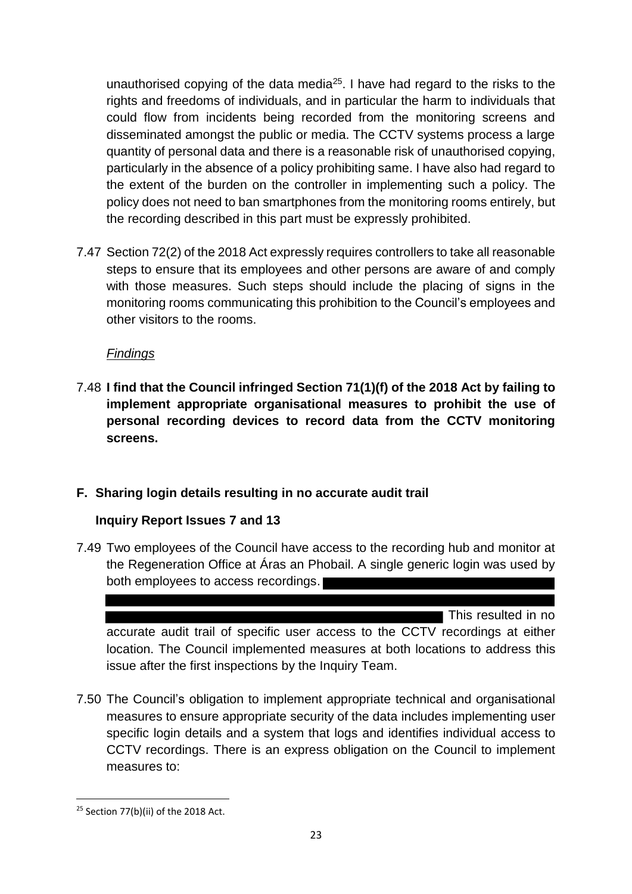unauthorised copying of the data media<sup>25</sup>. I have had regard to the risks to the rights and freedoms of individuals, and in particular the harm to individuals that could flow from incidents being recorded from the monitoring screens and disseminated amongst the public or media. The CCTV systems process a large quantity of personal data and there is a reasonable risk of unauthorised copying, particularly in the absence of a policy prohibiting same. I have also had regard to the extent of the burden on the controller in implementing such a policy. The policy does not need to ban smartphones from the monitoring rooms entirely, but the recording described in this part must be expressly prohibited.

7.47 Section 72(2) of the 2018 Act expressly requires controllers to take all reasonable steps to ensure that its employees and other persons are aware of and comply with those measures. Such steps should include the placing of signs in the monitoring rooms communicating this prohibition to the Council's employees and other visitors to the rooms.

#### *Findings*

7.48 **I find that the Council infringed Section 71(1)(f) of the 2018 Act by failing to implement appropriate organisational measures to prohibit the use of personal recording devices to record data from the CCTV monitoring screens.**

#### **F. Sharing login details resulting in no accurate audit trail**

#### **Inquiry Report Issues 7 and 13**

7.49 Two employees of the Council have access to the recording hub and monitor at the Regeneration Office at Áras an Phobail. A single generic login was used by both employees to access recordings.

This resulted in no

accurate audit trail of specific user access to the CCTV recordings at either location. The Council implemented measures at both locations to address this issue after the first inspections by the Inquiry Team.

7.50 The Council's obligation to implement appropriate technical and organisational measures to ensure appropriate security of the data includes implementing user specific login details and a system that logs and identifies individual access to CCTV recordings. There is an express obligation on the Council to implement measures to:

<sup>&</sup>lt;sup>25</sup> Section 77(b)(ii) of the 2018 Act.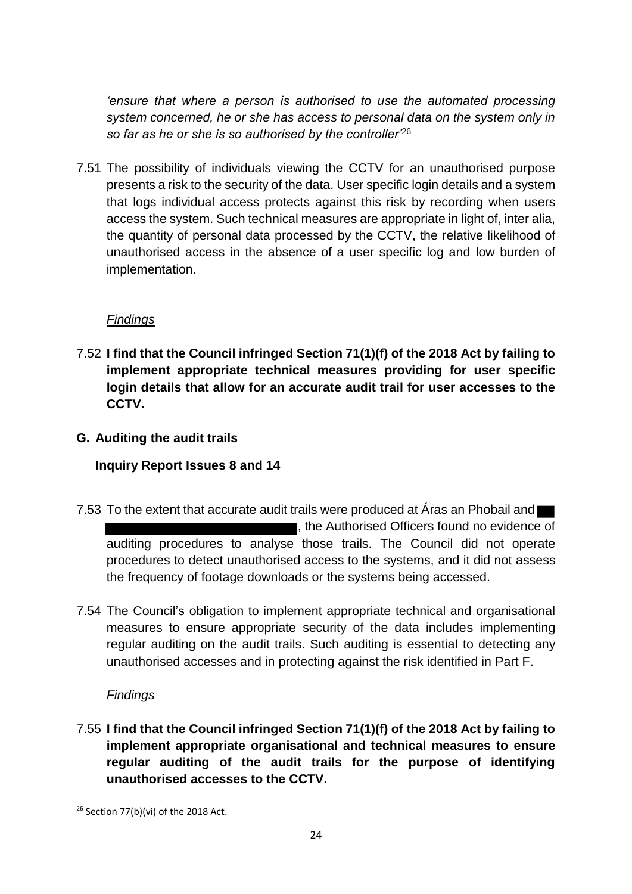*'ensure that where a person is authorised to use the automated processing system concerned, he or she has access to personal data on the system only in so far as he or she is so authorised by the controller'*<sup>26</sup>

7.51 The possibility of individuals viewing the CCTV for an unauthorised purpose presents a risk to the security of the data. User specific login details and a system that logs individual access protects against this risk by recording when users access the system. Such technical measures are appropriate in light of, inter alia, the quantity of personal data processed by the CCTV, the relative likelihood of unauthorised access in the absence of a user specific log and low burden of implementation.

#### *Findings*

- 7.52 **I find that the Council infringed Section 71(1)(f) of the 2018 Act by failing to implement appropriate technical measures providing for user specific login details that allow for an accurate audit trail for user accesses to the CCTV.**
- **G. Auditing the audit trails**

## **Inquiry Report Issues 8 and 14**

- 7.53 To the extent that accurate audit trails were produced at Aras an Phobail and , the Authorised Officers found no evidence of auditing procedures to analyse those trails. The Council did not operate procedures to detect unauthorised access to the systems, and it did not assess the frequency of footage downloads or the systems being accessed.
- 7.54 The Council's obligation to implement appropriate technical and organisational measures to ensure appropriate security of the data includes implementing regular auditing on the audit trails. Such auditing is essential to detecting any unauthorised accesses and in protecting against the risk identified in Part F.

#### *Findings*

**.** 

7.55 **I find that the Council infringed Section 71(1)(f) of the 2018 Act by failing to implement appropriate organisational and technical measures to ensure regular auditing of the audit trails for the purpose of identifying unauthorised accesses to the CCTV.**

 $26$  Section 77(b)(vi) of the 2018 Act.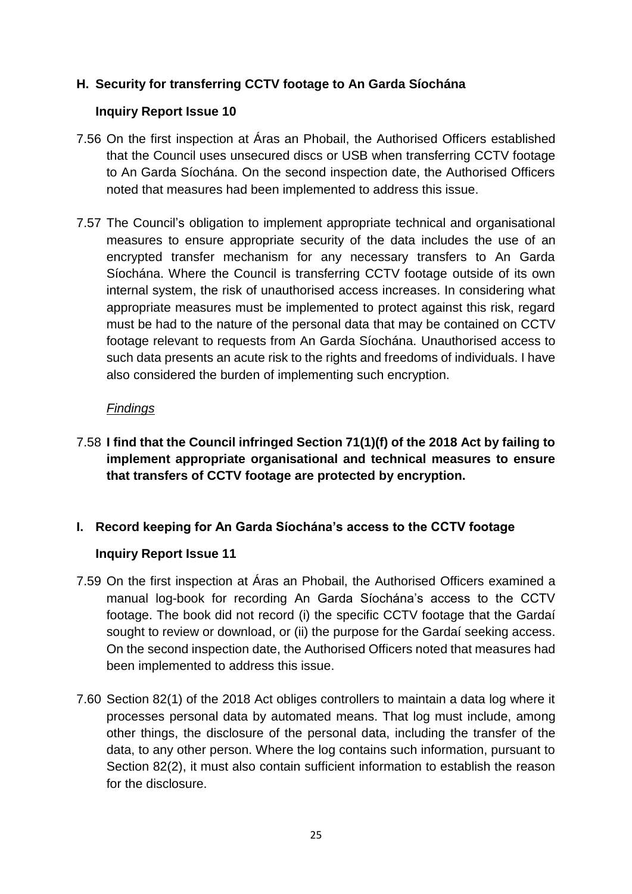#### **H. Security for transferring CCTV footage to An Garda Síochána**

#### **Inquiry Report Issue 10**

- 7.56 On the first inspection at Áras an Phobail, the Authorised Officers established that the Council uses unsecured discs or USB when transferring CCTV footage to An Garda Síochána. On the second inspection date, the Authorised Officers noted that measures had been implemented to address this issue.
- 7.57 The Council's obligation to implement appropriate technical and organisational measures to ensure appropriate security of the data includes the use of an encrypted transfer mechanism for any necessary transfers to An Garda Síochána. Where the Council is transferring CCTV footage outside of its own internal system, the risk of unauthorised access increases. In considering what appropriate measures must be implemented to protect against this risk, regard must be had to the nature of the personal data that may be contained on CCTV footage relevant to requests from An Garda Síochána. Unauthorised access to such data presents an acute risk to the rights and freedoms of individuals. I have also considered the burden of implementing such encryption.

#### *Findings*

7.58 **I find that the Council infringed Section 71(1)(f) of the 2018 Act by failing to implement appropriate organisational and technical measures to ensure that transfers of CCTV footage are protected by encryption.**

#### **I. Record keeping for An Garda Síochána's access to the CCTV footage**

#### **Inquiry Report Issue 11**

- 7.59 On the first inspection at Áras an Phobail, the Authorised Officers examined a manual log-book for recording An Garda Síochána's access to the CCTV footage. The book did not record (i) the specific CCTV footage that the Gardaí sought to review or download, or (ii) the purpose for the Gardaí seeking access. On the second inspection date, the Authorised Officers noted that measures had been implemented to address this issue.
- 7.60 Section 82(1) of the 2018 Act obliges controllers to maintain a data log where it processes personal data by automated means. That log must include, among other things, the disclosure of the personal data, including the transfer of the data, to any other person. Where the log contains such information, pursuant to Section 82(2), it must also contain sufficient information to establish the reason for the disclosure.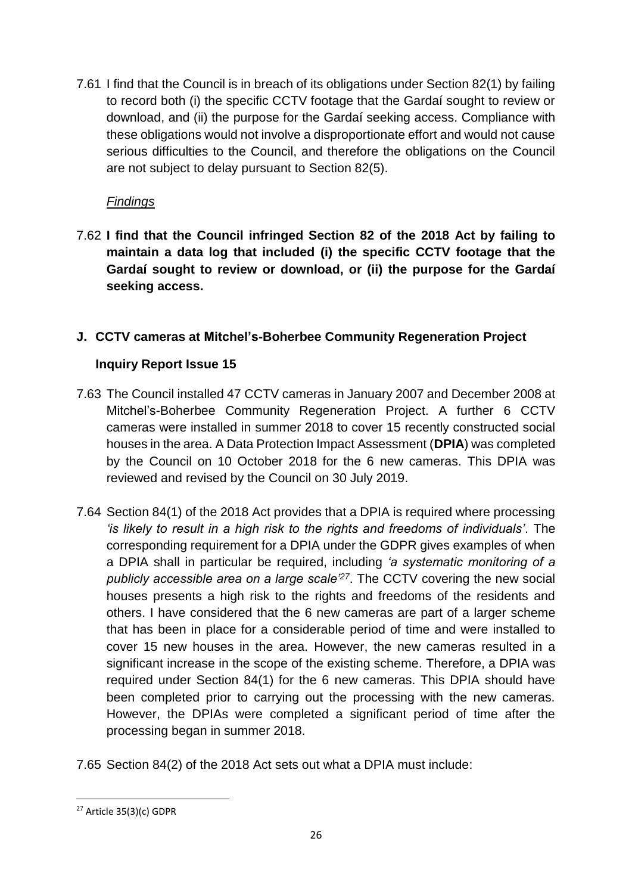7.61 I find that the Council is in breach of its obligations under Section 82(1) by failing to record both (i) the specific CCTV footage that the Gardaí sought to review or download, and (ii) the purpose for the Gardaí seeking access. Compliance with these obligations would not involve a disproportionate effort and would not cause serious difficulties to the Council, and therefore the obligations on the Council are not subject to delay pursuant to Section 82(5).

## *Findings*

7.62 **I find that the Council infringed Section 82 of the 2018 Act by failing to maintain a data log that included (i) the specific CCTV footage that the Gardaí sought to review or download, or (ii) the purpose for the Gardaí seeking access.**

## **J. CCTV cameras at Mitchel's-Boherbee Community Regeneration Project**

## **Inquiry Report Issue 15**

- 7.63 The Council installed 47 CCTV cameras in January 2007 and December 2008 at Mitchel's-Boherbee Community Regeneration Project. A further 6 CCTV cameras were installed in summer 2018 to cover 15 recently constructed social houses in the area. A Data Protection Impact Assessment (**DPIA**) was completed by the Council on 10 October 2018 for the 6 new cameras. This DPIA was reviewed and revised by the Council on 30 July 2019.
- 7.64 Section 84(1) of the 2018 Act provides that a DPIA is required where processing *'is likely to result in a high risk to the rights and freedoms of individuals'*. The corresponding requirement for a DPIA under the GDPR gives examples of when a DPIA shall in particular be required, including *'a systematic monitoring of a publicly accessible area on a large scale'<sup>27</sup>*. The CCTV covering the new social houses presents a high risk to the rights and freedoms of the residents and others. I have considered that the 6 new cameras are part of a larger scheme that has been in place for a considerable period of time and were installed to cover 15 new houses in the area. However, the new cameras resulted in a significant increase in the scope of the existing scheme. Therefore, a DPIA was required under Section 84(1) for the 6 new cameras. This DPIA should have been completed prior to carrying out the processing with the new cameras. However, the DPIAs were completed a significant period of time after the processing began in summer 2018.
- 7.65 Section 84(2) of the 2018 Act sets out what a DPIA must include:

<sup>27</sup> Article 35(3)(c) GDPR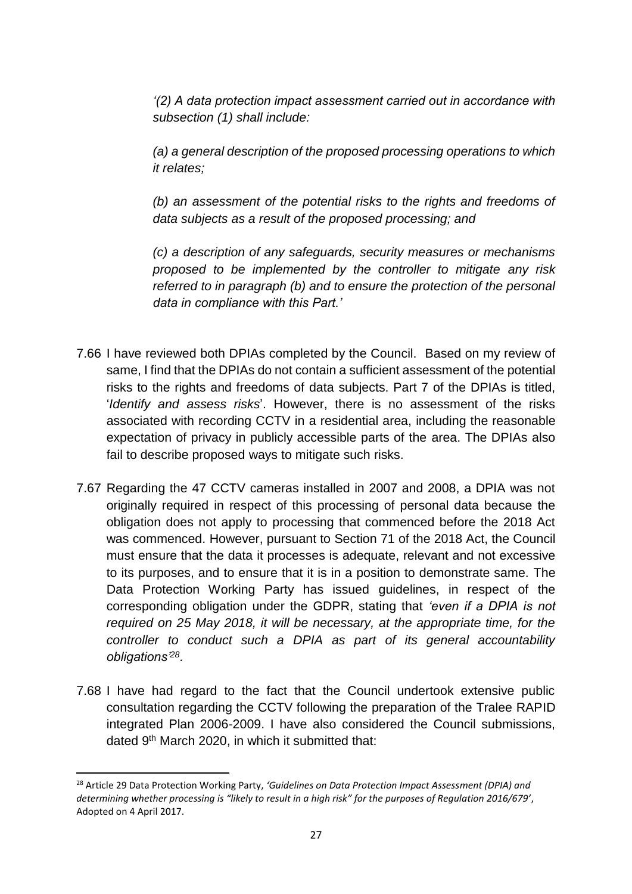*'(2) A data protection impact assessment carried out in accordance with subsection (1) shall include:*

*(a) a general description of the proposed processing operations to which it relates;*

*(b) an assessment of the potential risks to the rights and freedoms of data subjects as a result of the proposed processing; and*

*(c) a description of any safeguards, security measures or mechanisms proposed to be implemented by the controller to mitigate any risk referred to in paragraph (b) and to ensure the protection of the personal data in compliance with this Part.'*

- 7.66 I have reviewed both DPIAs completed by the Council. Based on my review of same, I find that the DPIAs do not contain a sufficient assessment of the potential risks to the rights and freedoms of data subjects. Part 7 of the DPIAs is titled, '*Identify and assess risks*'. However, there is no assessment of the risks associated with recording CCTV in a residential area, including the reasonable expectation of privacy in publicly accessible parts of the area. The DPIAs also fail to describe proposed ways to mitigate such risks.
- 7.67 Regarding the 47 CCTV cameras installed in 2007 and 2008, a DPIA was not originally required in respect of this processing of personal data because the obligation does not apply to processing that commenced before the 2018 Act was commenced. However, pursuant to Section 71 of the 2018 Act, the Council must ensure that the data it processes is adequate, relevant and not excessive to its purposes, and to ensure that it is in a position to demonstrate same. The Data Protection Working Party has issued guidelines, in respect of the corresponding obligation under the GDPR, stating that *'even if a DPIA is not required on 25 May 2018, it will be necessary, at the appropriate time, for the controller to conduct such a DPIA as part of its general accountability obligations'<sup>28</sup>* .
- 7.68 I have had regard to the fact that the Council undertook extensive public consultation regarding the CCTV following the preparation of the Tralee RAPID integrated Plan 2006-2009. I have also considered the Council submissions, dated 9<sup>th</sup> March 2020, in which it submitted that:

**<sup>.</sup>** <sup>28</sup> Article 29 Data Protection Working Party, *'Guidelines on Data Protection Impact Assessment (DPIA) and determining whether processing is "likely to result in a high risk" for the purposes of Regulation 2016/679'*, Adopted on 4 April 2017.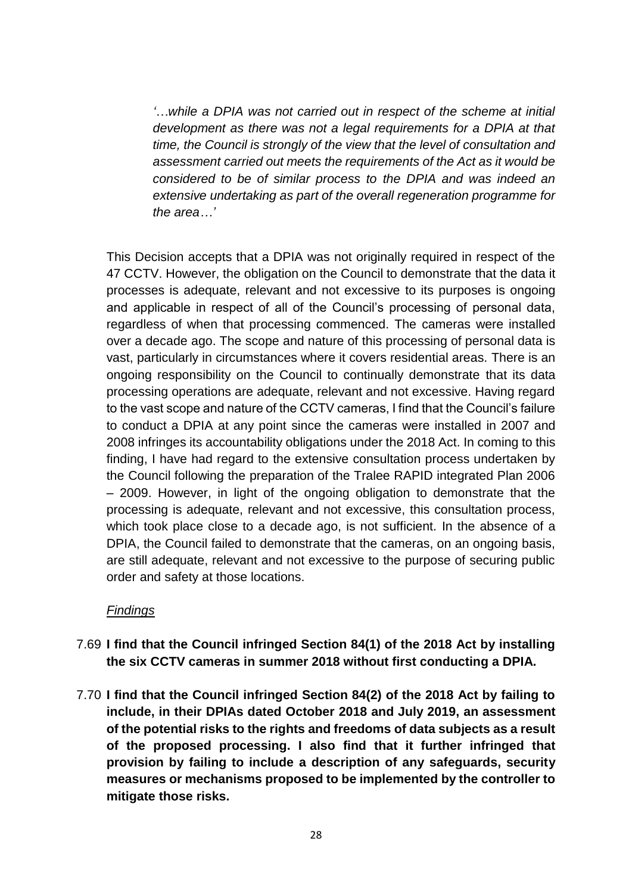*'…while a DPIA was not carried out in respect of the scheme at initial development as there was not a legal requirements for a DPIA at that time, the Council is strongly of the view that the level of consultation and assessment carried out meets the requirements of the Act as it would be considered to be of similar process to the DPIA and was indeed an extensive undertaking as part of the overall regeneration programme for the area…'*

This Decision accepts that a DPIA was not originally required in respect of the 47 CCTV. However, the obligation on the Council to demonstrate that the data it processes is adequate, relevant and not excessive to its purposes is ongoing and applicable in respect of all of the Council's processing of personal data, regardless of when that processing commenced. The cameras were installed over a decade ago. The scope and nature of this processing of personal data is vast, particularly in circumstances where it covers residential areas. There is an ongoing responsibility on the Council to continually demonstrate that its data processing operations are adequate, relevant and not excessive. Having regard to the vast scope and nature of the CCTV cameras, I find that the Council's failure to conduct a DPIA at any point since the cameras were installed in 2007 and 2008 infringes its accountability obligations under the 2018 Act. In coming to this finding, I have had regard to the extensive consultation process undertaken by the Council following the preparation of the Tralee RAPID integrated Plan 2006 – 2009. However, in light of the ongoing obligation to demonstrate that the processing is adequate, relevant and not excessive, this consultation process, which took place close to a decade ago, is not sufficient. In the absence of a DPIA, the Council failed to demonstrate that the cameras, on an ongoing basis, are still adequate, relevant and not excessive to the purpose of securing public order and safety at those locations.

#### *Findings*

- 7.69 **I find that the Council infringed Section 84(1) of the 2018 Act by installing the six CCTV cameras in summer 2018 without first conducting a DPIA.**
- 7.70 **I find that the Council infringed Section 84(2) of the 2018 Act by failing to include, in their DPIAs dated October 2018 and July 2019, an assessment of the potential risks to the rights and freedoms of data subjects as a result of the proposed processing. I also find that it further infringed that provision by failing to include a description of any safeguards, security measures or mechanisms proposed to be implemented by the controller to mitigate those risks.**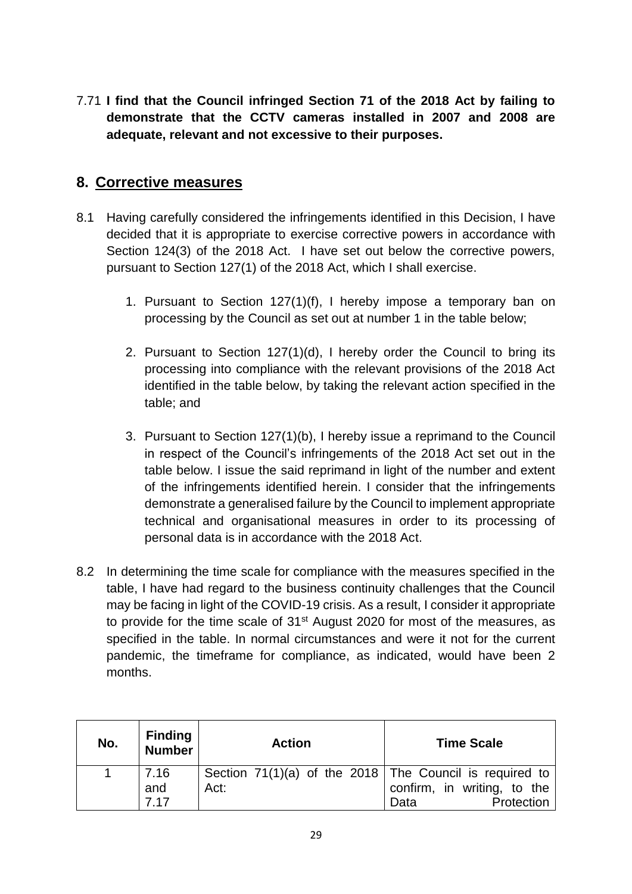7.71 **I find that the Council infringed Section 71 of the 2018 Act by failing to demonstrate that the CCTV cameras installed in 2007 and 2008 are adequate, relevant and not excessive to their purposes.**

## **8. Corrective measures**

- 8.1 Having carefully considered the infringements identified in this Decision, I have decided that it is appropriate to exercise corrective powers in accordance with Section 124(3) of the 2018 Act. I have set out below the corrective powers, pursuant to Section 127(1) of the 2018 Act, which I shall exercise.
	- 1. Pursuant to Section 127(1)(f), I hereby impose a temporary ban on processing by the Council as set out at number 1 in the table below;
	- 2. Pursuant to Section 127(1)(d), I hereby order the Council to bring its processing into compliance with the relevant provisions of the 2018 Act identified in the table below, by taking the relevant action specified in the table; and
	- 3. Pursuant to Section 127(1)(b), I hereby issue a reprimand to the Council in respect of the Council's infringements of the 2018 Act set out in the table below. I issue the said reprimand in light of the number and extent of the infringements identified herein. I consider that the infringements demonstrate a generalised failure by the Council to implement appropriate technical and organisational measures in order to its processing of personal data is in accordance with the 2018 Act.
- 8.2 In determining the time scale for compliance with the measures specified in the table, I have had regard to the business continuity challenges that the Council may be facing in light of the COVID-19 crisis. As a result, I consider it appropriate to provide for the time scale of 31<sup>st</sup> August 2020 for most of the measures, as specified in the table. In normal circumstances and were it not for the current pandemic, the timeframe for compliance, as indicated, would have been 2 months.

| No. | <b>Finding</b><br><b>Number</b> | <b>Action</b>                                             | <b>Time Scale</b>           |
|-----|---------------------------------|-----------------------------------------------------------|-----------------------------|
|     | 7.16                            | Section $71(1)(a)$ of the 2018 The Council is required to |                             |
|     | and                             | Act:                                                      | confirm, in writing, to the |
|     | 7 17                            |                                                           | Protection<br>Data          |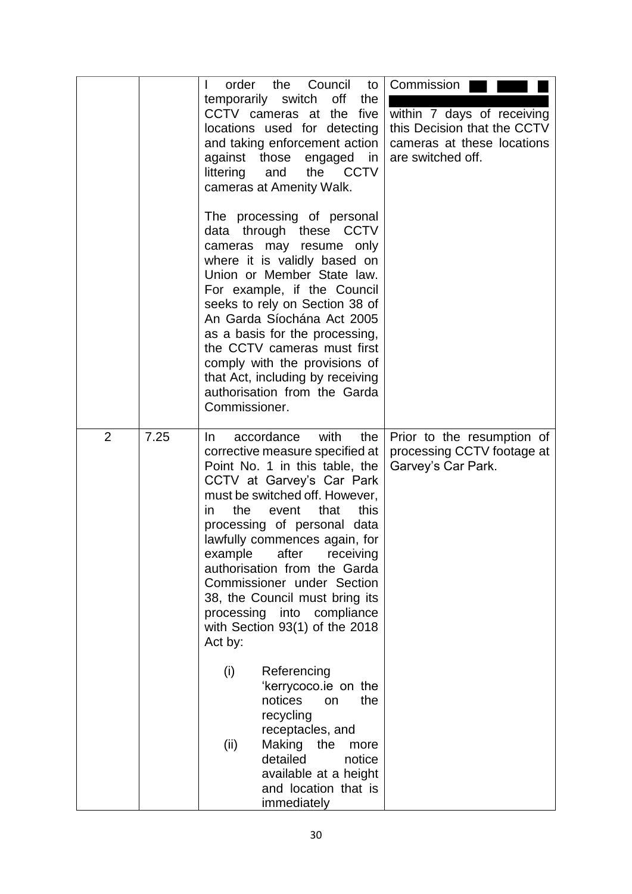|   |      | L<br>littering<br>Commissioner.             | order the<br>temporarily switch<br>CCTV cameras at the<br>locations used for detecting<br>and taking enforcement action<br>against those engaged<br>the<br>and<br>cameras at Amenity Walk.<br>The processing of personal<br>data through these CCTV<br>cameras may resume only<br>where it is validly based on<br>Union or Member State law.<br>For example, if the Council<br>seeks to rely on Section 38 of<br>An Garda Síochána Act 2005<br>as a basis for the processing,<br>the CCTV cameras must first<br>comply with the provisions of<br>that Act, including by receiving<br>authorisation from the Garda | Council<br>to<br>off<br>the<br>five<br>in<br><b>CCTV</b>                | Commission<br>within 7 days of receiving<br>this Decision that the CCTV<br>cameras at these locations<br>are switched off. |
|---|------|---------------------------------------------|-------------------------------------------------------------------------------------------------------------------------------------------------------------------------------------------------------------------------------------------------------------------------------------------------------------------------------------------------------------------------------------------------------------------------------------------------------------------------------------------------------------------------------------------------------------------------------------------------------------------|-------------------------------------------------------------------------|----------------------------------------------------------------------------------------------------------------------------|
| 2 | 7.25 | In.<br>the<br>in.<br>Act by:<br>(i)<br>(ii) | accordance with<br>corrective measure specified at<br>Point No. 1 in this table, the<br>CCTV at Garvey's Car Park<br>must be switched off. However,<br>event<br>processing of personal data<br>lawfully commences again, for<br>example after receiving<br>authorisation from the Garda<br>Commissioner under Section<br>38, the Council must bring its<br>processing into<br>with Section 93(1) of the 2018<br>Referencing<br>'kerrycoco.ie on the<br>notices<br>recycling<br>receptacles, and<br>Making<br>detailed<br>available at a height<br>and location that is<br>immediately                             | the<br>that<br>this<br>compliance<br>the<br>on<br>the<br>more<br>notice | Prior to the resumption of<br>processing CCTV footage at<br>Garvey's Car Park.                                             |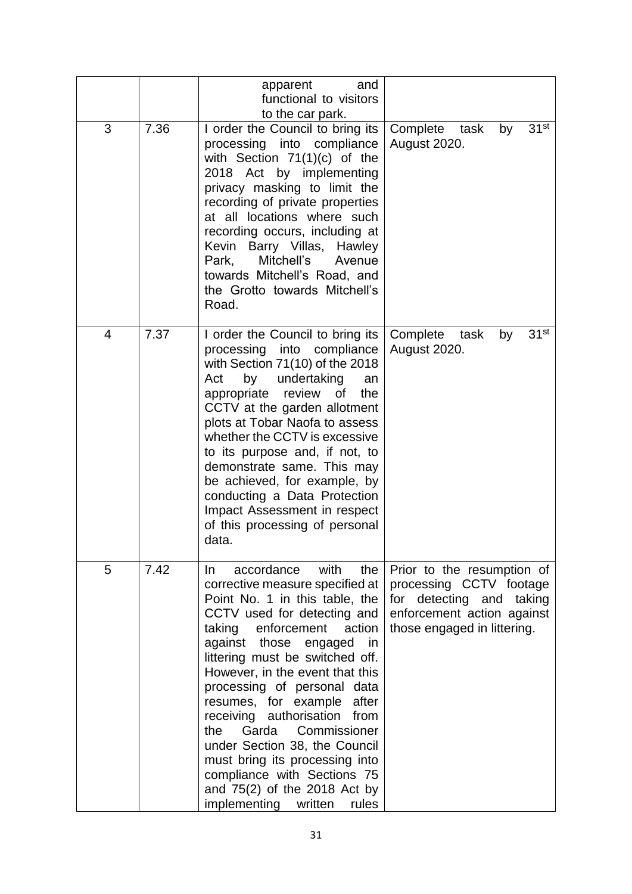|   |      | apparent<br>and<br>functional to visitors<br>to the car park.                                                                                                                                                                                                                                                                                                                                                                                                                                                                                                                |                                                                                                                                                |
|---|------|------------------------------------------------------------------------------------------------------------------------------------------------------------------------------------------------------------------------------------------------------------------------------------------------------------------------------------------------------------------------------------------------------------------------------------------------------------------------------------------------------------------------------------------------------------------------------|------------------------------------------------------------------------------------------------------------------------------------------------|
| 3 | 7.36 | I order the Council to bring its<br>processing into compliance<br>with Section $71(1)(c)$ of the<br>2018 Act by implementing<br>privacy masking to limit the<br>recording of private properties<br>at all locations where such<br>recording occurs, including at<br>Kevin Barry Villas, Hawley<br>Mitchell's<br>Park,<br>Avenue<br>towards Mitchell's Road, and<br>the Grotto towards Mitchell's<br>Road.                                                                                                                                                                    | 31 <sup>st</sup><br>Complete<br>task<br>by<br>August 2020.                                                                                     |
| 4 | 7.37 | I order the Council to bring its<br>processing into compliance<br>with Section $71(10)$ of the 2018<br>by undertaking<br>Act<br>an<br>appropriate<br>review<br>0f<br>the<br>CCTV at the garden allotment<br>plots at Tobar Naofa to assess<br>whether the CCTV is excessive<br>to its purpose and, if not, to<br>demonstrate same. This may<br>be achieved, for example, by<br>conducting a Data Protection<br>Impact Assessment in respect<br>of this processing of personal<br>data.                                                                                       | 31 <sup>st</sup><br>Complete task<br>by<br><b>August 2020.</b>                                                                                 |
| 5 | 7.42 | accordance with<br>the<br>In.<br>corrective measure specified at<br>Point No. 1 in this table, the<br>CCTV used for detecting and<br>taking enforcement<br>action<br>against<br>those<br>engaged<br>in<br>littering must be switched off.<br>However, in the event that this<br>processing of personal data<br>resumes, for example<br>after<br>receiving authorisation from<br>the<br>Garda Commissioner<br>under Section 38, the Council<br>must bring its processing into<br>compliance with Sections 75<br>and 75(2) of the 2018 Act by<br>implementing written<br>rules | Prior to the resumption of<br>processing CCTV footage<br>for detecting and taking<br>enforcement action against<br>those engaged in littering. |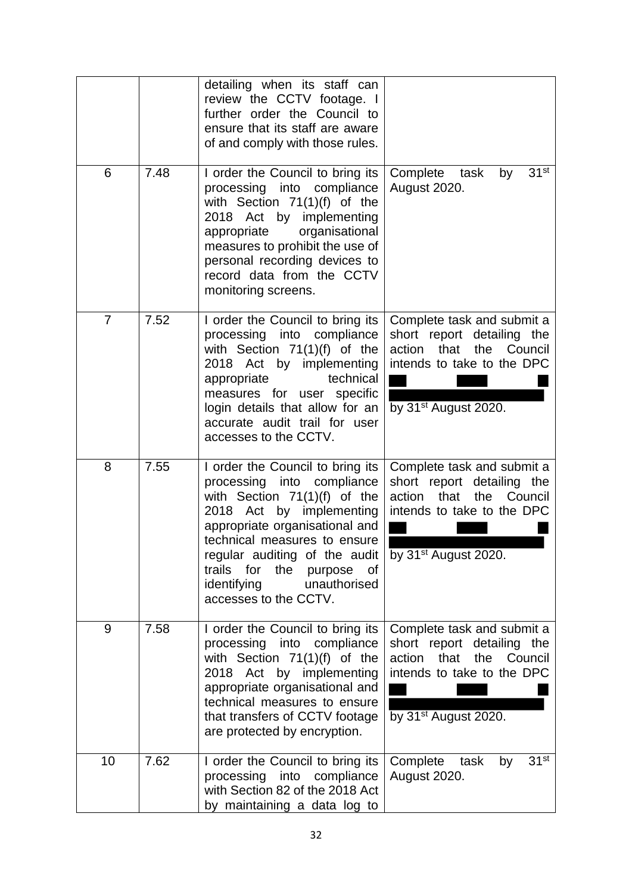|                |      | detailing when its staff can<br>review the CCTV footage. I<br>further order the Council to<br>ensure that its staff are aware<br>of and comply with those rules.                                                                                                                                                           |                                                                                                                                                                |
|----------------|------|----------------------------------------------------------------------------------------------------------------------------------------------------------------------------------------------------------------------------------------------------------------------------------------------------------------------------|----------------------------------------------------------------------------------------------------------------------------------------------------------------|
| 6              | 7.48 | I order the Council to bring its<br>processing into compliance<br>with Section $71(1)(f)$ of the<br>2018 Act by implementing<br>appropriate<br>organisational<br>measures to prohibit the use of<br>personal recording devices to<br>record data from the CCTV<br>monitoring screens.                                      | 31 <sup>st</sup><br>Complete<br>task<br>by<br>August 2020.                                                                                                     |
| $\overline{7}$ | 7.52 | I order the Council to bring its<br>processing into compliance<br>with Section $71(1)(f)$ of the<br>2018 Act by implementing<br>technical<br>appropriate<br>measures for user specific<br>login details that allow for an<br>accurate audit trail for user<br>accesses to the CCTV.                                        | Complete task and submit a<br>short report detailing the<br>action<br>that<br>the<br>Council<br>intends to take to the DPC<br>by $31st$ August 2020.           |
| 8              | 7.55 | I order the Council to bring its<br>processing into compliance<br>with Section $71(1)(f)$ of the<br>2018 Act by implementing<br>appropriate organisational and<br>technical measures to ensure<br>regular auditing of the audit<br>trails for<br>the<br>purpose of<br>identifying<br>unauthorised<br>accesses to the CCTV. | Complete task and submit a<br>short report detailing the<br>action<br>that<br>the<br>Council<br>intends to take to the DPC<br>by $31st$ August 2020.           |
| 9              | 7.58 | I order the Council to bring its<br>processing into compliance<br>with Section $71(1)(f)$ of the<br>2018 Act by implementing<br>appropriate organisational and<br>technical measures to ensure<br>that transfers of CCTV footage<br>are protected by encryption.                                                           | Complete task and submit a<br>short report detailing the<br>action<br>that<br>Council<br>the<br>intends to take to the DPC<br>by 31 <sup>st</sup> August 2020. |
| 10             | 7.62 | I order the Council to bring its<br>processing into compliance<br>with Section 82 of the 2018 Act<br>by maintaining a data log to                                                                                                                                                                                          | 31 <sup>st</sup><br>Complete<br>task<br>by<br><b>August 2020.</b>                                                                                              |